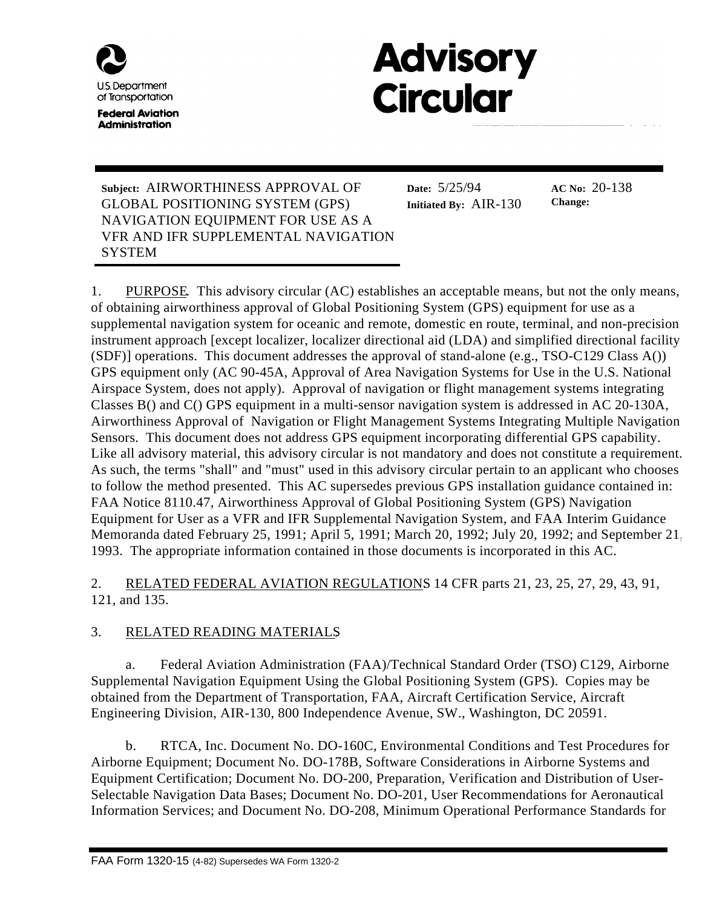

**Federal Aviation Administration** 

# **Advisory Circular**

**Subject:** AIRWORTHINESS APPROVAL OF GLOBAL POSITIONING SYSTEM (GPS) NAVIGATION EQUIPMENT FOR USE AS A VFR AND IFR SUPPLEMENTAL NAVIGATION **SYSTEM** 

**Date:** 5/25/94 **Initiated By:** AIR-130

**AC No:** 20-138 **Change:**

1. PURPOSE. This advisory circular (AC) establishes an acceptable means, but not the only means, of obtaining airworthiness approval of Global Positioning System (GPS) equipment for use as a supplemental navigation system for oceanic and remote, domestic en route, terminal, and non-precision instrument approach [except localizer, localizer directional aid (LDA) and simplified directional facility  $(SDF)$ ] operations. This document addresses the approval of stand-alone (e.g., TSO-C129 Class A()) GPS equipment only (AC 90-45A, Approval of Area Navigation Systems for Use in the U.S. National Airspace System, does not apply). Approval of navigation or flight management systems integrating Classes B() and C() GPS equipment in a multi-sensor navigation system is addressed in AC 20-130A, Airworthiness Approval of Navigation or Flight Management Systems Integrating Multiple Navigation Sensors. This document does not address GPS equipment incorporating differential GPS capability. Like all advisory material, this advisory circular is not mandatory and does not constitute a requirement. As such, the terms "shall" and "must" used in this advisory circular pertain to an applicant who chooses to follow the method presented. This AC supersedes previous GPS installation guidance contained in: FAA Notice 8110.47, Airworthiness Approval of Global Positioning System (GPS) Navigation Equipment for User as a VFR and IFR Supplemental Navigation System, and FAA Interim Guidance Memoranda dated February 25, 1991; April 5, 1991; March 20, 1992; July 20, 1992; and September 21, 1993. The appropriate information contained in those documents is incorporated in this AC.

2. RELATED FEDERAL AVIATION REGULATIONS 14 CFR parts 21, 23, 25, 27, 29, 43, 91, 121, and 135.

# 3. RELATED READING MATERIALS.

a. Federal Aviation Administration (FAA)/Technical Standard Order (TSO) C129, Airborne Supplemental Navigation Equipment Using the Global Positioning System (GPS). Copies may be obtained from the Department of Transportation, FAA, Aircraft Certification Service, Aircraft Engineering Division, AIR-130, 800 Independence Avenue, SW., Washington, DC 20591.

b. RTCA, Inc. Document No. DO-160C, Environmental Conditions and Test Procedures for Airborne Equipment; Document No. DO-178B, Software Considerations in Airborne Systems and Equipment Certification; Document No. DO-200, Preparation, Verification and Distribution of User-Selectable Navigation Data Bases; Document No. DO-201, User Recommendations for Aeronautical Information Services; and Document No. DO-208, Minimum Operational Performance Standards for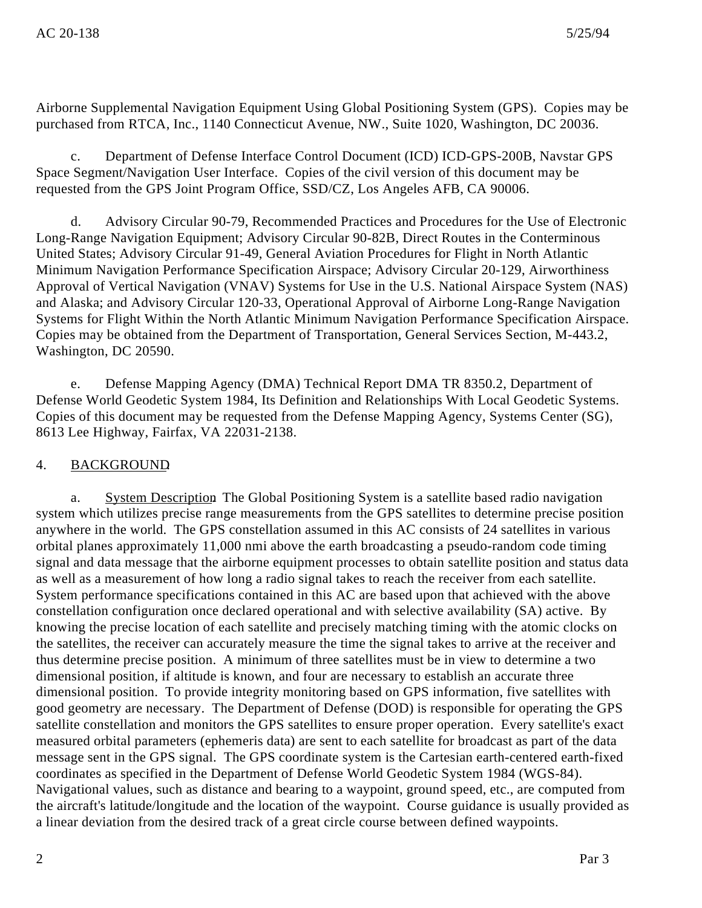Airborne Supplemental Navigation Equipment Using Global Positioning System (GPS). Copies may be purchased from RTCA, Inc., 1140 Connecticut Avenue, NW., Suite 1020, Washington, DC 20036.

c. Department of Defense Interface Control Document (ICD) ICD-GPS-200B, Navstar GPS Space Segment/Navigation User Interface. Copies of the civil version of this document may be requested from the GPS Joint Program Office, SSD/CZ, Los Angeles AFB, CA 90006.

d. Advisory Circular 90-79, Recommended Practices and Procedures for the Use of Electronic Long-Range Navigation Equipment; Advisory Circular 90-82B, Direct Routes in the Conterminous United States; Advisory Circular 91-49, General Aviation Procedures for Flight in North Atlantic Minimum Navigation Performance Specification Airspace; Advisory Circular 20-129, Airworthiness Approval of Vertical Navigation (VNAV) Systems for Use in the U.S. National Airspace System (NAS) and Alaska; and Advisory Circular 120-33, Operational Approval of Airborne Long-Range Navigation Systems for Flight Within the North Atlantic Minimum Navigation Performance Specification Airspace. Copies may be obtained from the Department of Transportation, General Services Section, M-443.2, Washington, DC 20590.

e. Defense Mapping Agency (DMA) Technical Report DMA TR 8350.2, Department of Defense World Geodetic System 1984, Its Definition and Relationships With Local Geodetic Systems. Copies of this document may be requested from the Defense Mapping Agency, Systems Center (SG), 8613 Lee Highway, Fairfax, VA 22031-2138.

#### 4. BACKGROUND.

a. System Description The Global Positioning System is a satellite based radio navigation system which utilizes precise range measurements from the GPS satellites to determine precise position anywhere in the world. The GPS constellation assumed in this AC consists of 24 satellites in various orbital planes approximately 11,000 nmi above the earth broadcasting a pseudo-random code timing signal and data message that the airborne equipment processes to obtain satellite position and status data as well as a measurement of how long a radio signal takes to reach the receiver from each satellite. System performance specifications contained in this AC are based upon that achieved with the above constellation configuration once declared operational and with selective availability (SA) active. By knowing the precise location of each satellite and precisely matching timing with the atomic clocks on the satellites, the receiver can accurately measure the time the signal takes to arrive at the receiver and thus determine precise position. A minimum of three satellites must be in view to determine a two dimensional position, if altitude is known, and four are necessary to establish an accurate three dimensional position. To provide integrity monitoring based on GPS information, five satellites with good geometry are necessary. The Department of Defense (DOD) is responsible for operating the GPS satellite constellation and monitors the GPS satellites to ensure proper operation. Every satellite's exact measured orbital parameters (ephemeris data) are sent to each satellite for broadcast as part of the data message sent in the GPS signal. The GPS coordinate system is the Cartesian earth-centered earth-fixed coordinates as specified in the Department of Defense World Geodetic System 1984 (WGS-84). Navigational values, such as distance and bearing to a waypoint, ground speed, etc., are computed from the aircraft's latitude/longitude and the location of the waypoint. Course guidance is usually provided as a linear deviation from the desired track of a great circle course between defined waypoints.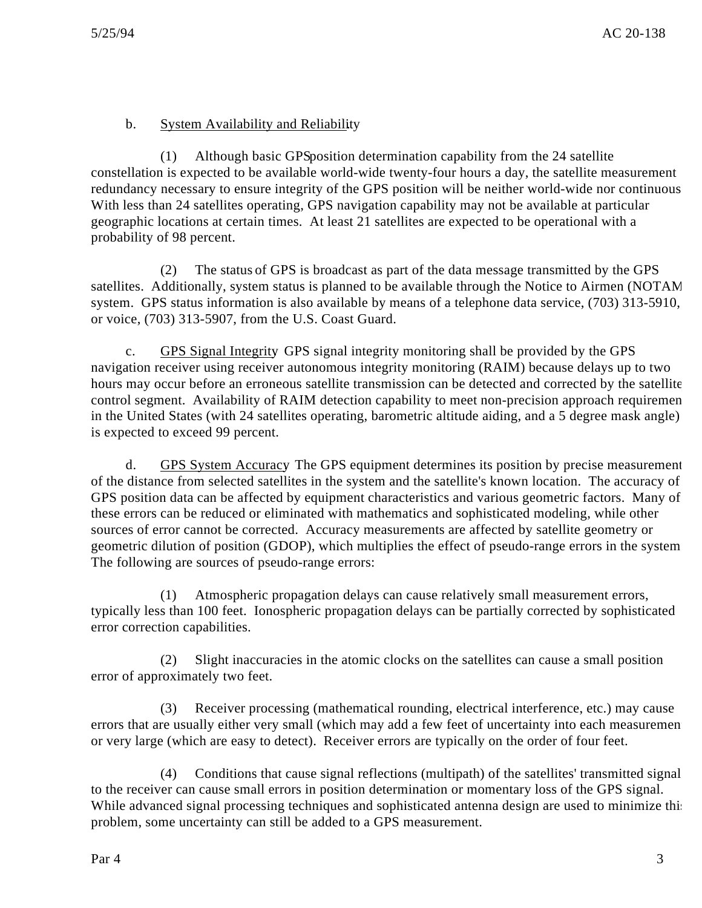# b. System Availability and Reliability.

 $(1)$  Although basic GPS position determination capability from the 24 satellite constellation is expected to be available world-wide twenty-four hours a day, the satellite measurement redundancy necessary to ensure integrity of the GPS position will be neither world-wide nor continuous. With less than 24 satellites operating, GPS navigation capability may not be available at particular geographic locations at certain times. At least 21 satellites are expected to be operational with a probability of 98 percent.

(2) The status of GPS is broadcast as part of the data message transmitted by the GPS satellites. Additionally, system status is planned to be available through the Notice to Airmen (NOTAM) system. GPS status information is also available by means of a telephone data service, (703) 313-5910, or voice, (703) 313-5907, from the U.S. Coast Guard.

c. GPS Signal Integrity. GPS signal integrity monitoring shall be provided by the GPS navigation receiver using receiver autonomous integrity monitoring (RAIM) because delays up to two hours may occur before an erroneous satellite transmission can be detected and corrected by the satellite control segment. Availability of RAIM detection capability to meet non-precision approach requiremen in the United States (with 24 satellites operating, barometric altitude aiding, and a 5 degree mask angle) is expected to exceed 99 percent.

d. GPS System Accuracy. The GPS equipment determines its position by precise measurement of the distance from selected satellites in the system and the satellite's known location. The accuracy of GPS position data can be affected by equipment characteristics and various geometric factors. Many of these errors can be reduced or eliminated with mathematics and sophisticated modeling, while other sources of error cannot be corrected. Accuracy measurements are affected by satellite geometry or geometric dilution of position (GDOP), which multiplies the effect of pseudo-range errors in the system. The following are sources of pseudo-range errors:

(1) Atmospheric propagation delays can cause relatively small measurement errors, typically less than 100 feet. Ionospheric propagation delays can be partially corrected by sophisticated error correction capabilities.

(2) Slight inaccuracies in the atomic clocks on the satellites can cause a small position error of approximately two feet.

(3) Receiver processing (mathematical rounding, electrical interference, etc.) may cause errors that are usually either very small (which may add a few feet of uncertainty into each measurement or very large (which are easy to detect). Receiver errors are typically on the order of four feet.

(4) Conditions that cause signal reflections (multipath) of the satellites' transmitted signal to the receiver can cause small errors in position determination or momentary loss of the GPS signal. While advanced signal processing techniques and sophisticated antenna design are used to minimize this problem, some uncertainty can still be added to a GPS measurement.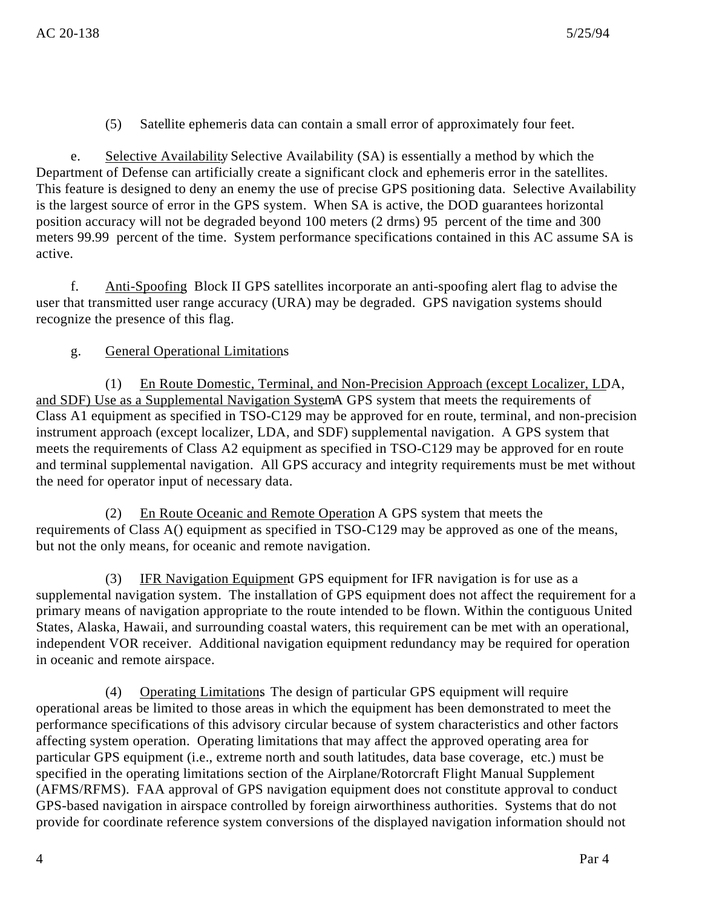(5) Satellite ephemeris data can contain a small error of approximately four feet.

e. Selective Availability. Selective Availability (SA) is essentially a method by which the Department of Defense can artificially create a significant clock and ephemeris error in the satellites. This feature is designed to deny an enemy the use of precise GPS positioning data. Selective Availability is the largest source of error in the GPS system. When SA is active, the DOD guarantees horizontal position accuracy will not be degraded beyond 100 meters (2 drms) 95 percent of the time and 300 meters 99.99 percent of the time. System performance specifications contained in this AC assume SA is active.

f. Anti-Spoofing. Block II GPS satellites incorporate an anti-spoofing alert flag to advise the user that transmitted user range accuracy (URA) may be degraded. GPS navigation systems should recognize the presence of this flag.

# g. General Operational Limitations.

(1) En Route Domestic, Terminal, and Non-Precision Approach (except Localizer, LDA, and SDF) Use as a Supplemental Navigation System A GPS system that meets the requirements of Class A1 equipment as specified in TSO-C129 may be approved for en route, terminal, and non-precision instrument approach (except localizer, LDA, and SDF) supplemental navigation. A GPS system that meets the requirements of Class A2 equipment as specified in TSO-C129 may be approved for en route and terminal supplemental navigation. All GPS accuracy and integrity requirements must be met without the need for operator input of necessary data.

(2) En Route Oceanic and Remote Operation A GPS system that meets the requirements of Class A() equipment as specified in TSO-C129 may be approved as one of the means, but not the only means, for oceanic and remote navigation.

(3) IFR Navigation Equipment GPS equipment for IFR navigation is for use as a supplemental navigation system. The installation of GPS equipment does not affect the requirement for a primary means of navigation appropriate to the route intended to be flown. Within the contiguous United States, Alaska, Hawaii, and surrounding coastal waters, this requirement can be met with an operational, independent VOR receiver. Additional navigation equipment redundancy may be required for operation in oceanic and remote airspace.

(4) Operating Limitations. The design of particular GPS equipment will require operational areas be limited to those areas in which the equipment has been demonstrated to meet the performance specifications of this advisory circular because of system characteristics and other factors affecting system operation. Operating limitations that may affect the approved operating area for particular GPS equipment (i.e., extreme north and south latitudes, data base coverage, etc.) must be specified in the operating limitations section of the Airplane/Rotorcraft Flight Manual Supplement (AFMS/RFMS). FAA approval of GPS navigation equipment does not constitute approval to conduct GPS-based navigation in airspace controlled by foreign airworthiness authorities. Systems that do not provide for coordinate reference system conversions of the displayed navigation information should not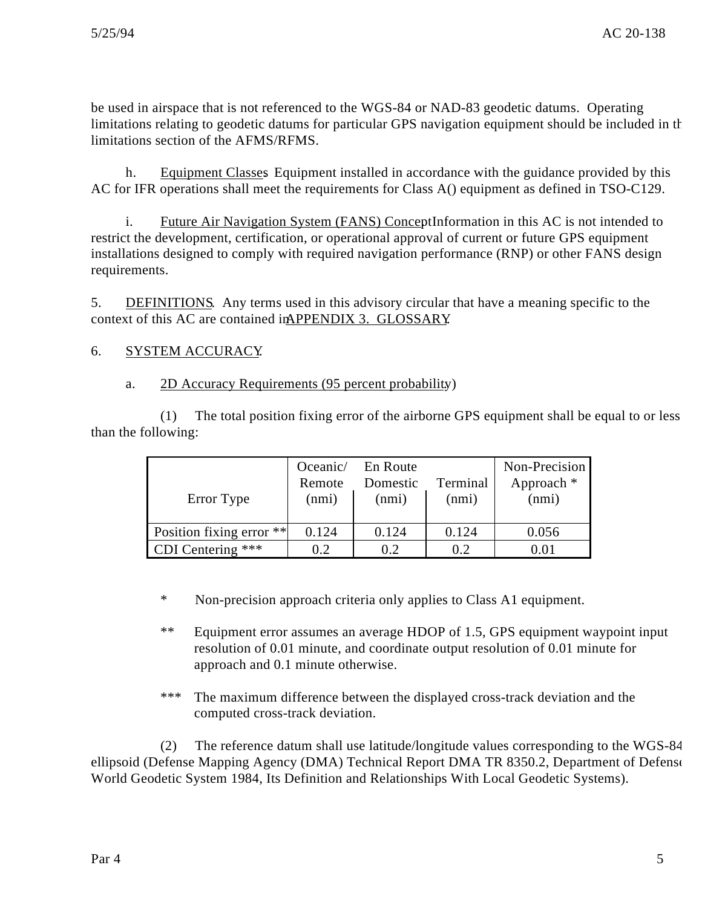be used in airspace that is not referenced to the WGS-84 or NAD-83 geodetic datums. Operating limitations relating to geodetic datums for particular GPS navigation equipment should be included in the limitations section of the AFMS/RFMS.

h. Equipment Classes Equipment installed in accordance with the guidance provided by this AC for IFR operations shall meet the requirements for Class A() equipment as defined in TSO-C129.

i. Future Air Navigation System (FANS) Concept Information in this AC is not intended to restrict the development, certification, or operational approval of current or future GPS equipment installations designed to comply with required navigation performance (RNP) or other FANS design requirements.

5. DEFINITIONS. Any terms used in this advisory circular that have a meaning specific to the context of this AC are contained in APPENDIX 3. GLOSSARY

# 6. SYSTEM ACCURACY.

# a. 2D Accuracy Requirements (95 percent probability)

(1) The total position fixing error of the airborne GPS equipment shall be equal to or less than the following:

| Error Type               | Oceanic/<br>Remote<br>(nmi) | En Route<br>Domestic<br>(nmi) | Terminal<br>(nmi) | Non-Precision<br>Approach $*$<br>(nmi) |
|--------------------------|-----------------------------|-------------------------------|-------------------|----------------------------------------|
| Position fixing error ** | 0.124                       | 0.124                         | 0.124             | 0.056                                  |
| CDI Centering ***        | 02                          | በ 2                           | 02                |                                        |

\* Non-precision approach criteria only applies to Class A1 equipment.

\*\* Equipment error assumes an average HDOP of 1.5, GPS equipment waypoint input resolution of 0.01 minute, and coordinate output resolution of 0.01 minute for approach and 0.1 minute otherwise.

\*\*\* The maximum difference between the displayed cross-track deviation and the computed cross-track deviation.

(2) The reference datum shall use latitude/longitude values corresponding to the WGS-84 ellipsoid (Defense Mapping Agency (DMA) Technical Report DMA TR 8350.2, Department of Defense World Geodetic System 1984, Its Definition and Relationships With Local Geodetic Systems).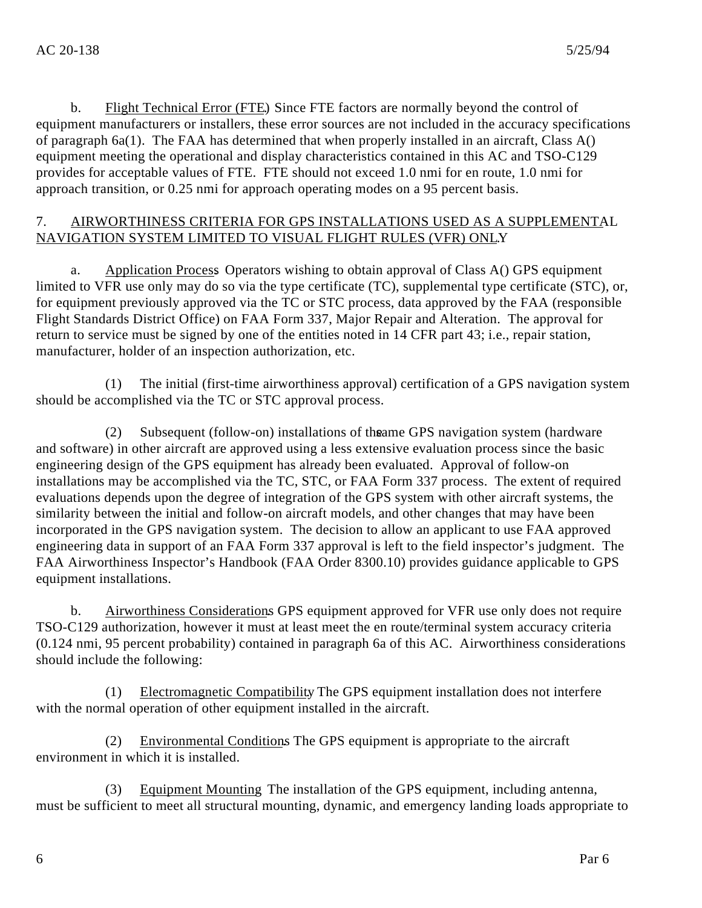b. Flight Technical Error (FTE). Since FTE factors are normally beyond the control of equipment manufacturers or installers, these error sources are not included in the accuracy specifications of paragraph 6a(1). The FAA has determined that when properly installed in an aircraft, Class A() equipment meeting the operational and display characteristics contained in this AC and TSO-C129 provides for acceptable values of FTE. FTE should not exceed 1.0 nmi for en route, 1.0 nmi for approach transition, or 0.25 nmi for approach operating modes on a 95 percent basis.

# 7. AIRWORTHINESS CRITERIA FOR GPS INSTALLATIONS USED AS A SUPPLEMENTAL NAVIGATION SYSTEM LIMITED TO VISUAL FLIGHT RULES (VFR) ONLY.

a. Application Process. Operators wishing to obtain approval of Class A() GPS equipment limited to VFR use only may do so via the type certificate (TC), supplemental type certificate (STC), or, for equipment previously approved via the TC or STC process, data approved by the FAA (responsible Flight Standards District Office) on FAA Form 337, Major Repair and Alteration. The approval for return to service must be signed by one of the entities noted in 14 CFR part 43; i.e., repair station, manufacturer, holder of an inspection authorization, etc.

(1) The initial (first-time airworthiness approval) certification of a GPS navigation system should be accomplished via the TC or STC approval process.

(2) Subsequent (follow-on) installations of the same GPS navigation system (hardware and software) in other aircraft are approved using a less extensive evaluation process since the basic engineering design of the GPS equipment has already been evaluated. Approval of follow-on installations may be accomplished via the TC, STC, or FAA Form 337 process. The extent of required evaluations depends upon the degree of integration of the GPS system with other aircraft systems, the similarity between the initial and follow-on aircraft models, and other changes that may have been incorporated in the GPS navigation system. The decision to allow an applicant to use FAA approved engineering data in support of an FAA Form 337 approval is left to the field inspector's judgment. The FAA Airworthiness Inspector's Handbook (FAA Order 8300.10) provides guidance applicable to GPS equipment installations.

b. Airworthiness Considerations GPS equipment approved for VFR use only does not require TSO-C129 authorization, however it must at least meet the en route/terminal system accuracy criteria (0.124 nmi, 95 percent probability) contained in paragraph 6a of this AC. Airworthiness considerations should include the following:

(1) Electromagnetic Compatibility. The GPS equipment installation does not interfere with the normal operation of other equipment installed in the aircraft.

(2) Environmental Conditions. The GPS equipment is appropriate to the aircraft environment in which it is installed.

(3) Equipment Mounting. The installation of the GPS equipment, including antenna, must be sufficient to meet all structural mounting, dynamic, and emergency landing loads appropriate to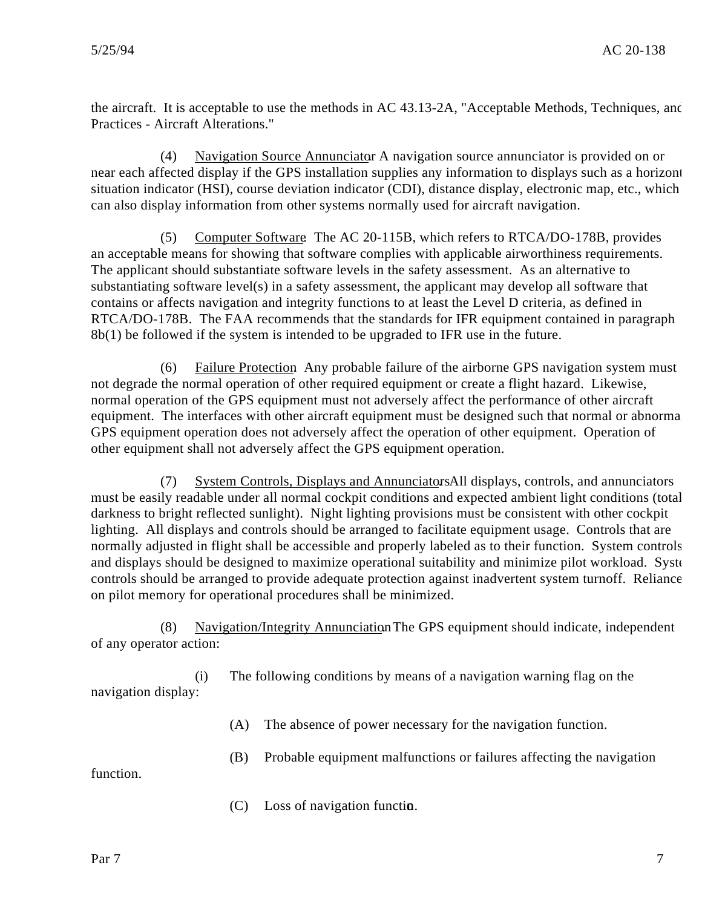the aircraft. It is acceptable to use the methods in AC 43.13-2A, "Acceptable Methods, Techniques, and Practices - Aircraft Alterations."

(4) Navigation Source Annunciator. A navigation source annunciator is provided on or near each affected display if the GPS installation supplies any information to displays such as a horizont situation indicator (HSI), course deviation indicator (CDI), distance display, electronic map, etc., which can also display information from other systems normally used for aircraft navigation.

(5) Computer Software. The AC 20-115B, which refers to RTCA/DO-178B, provides an acceptable means for showing that software complies with applicable airworthiness requirements. The applicant should substantiate software levels in the safety assessment. As an alternative to substantiating software level(s) in a safety assessment, the applicant may develop all software that contains or affects navigation and integrity functions to at least the Level D criteria, as defined in RTCA/DO-178B. The FAA recommends that the standards for IFR equipment contained in paragraph 8b(1) be followed if the system is intended to be upgraded to IFR use in the future.

(6) Failure Protection. Any probable failure of the airborne GPS navigation system must not degrade the normal operation of other required equipment or create a flight hazard. Likewise, normal operation of the GPS equipment must not adversely affect the performance of other aircraft equipment. The interfaces with other aircraft equipment must be designed such that normal or abnormal GPS equipment operation does not adversely affect the operation of other equipment. Operation of other equipment shall not adversely affect the GPS equipment operation.

(7) System Controls, Displays and Annunciators. All displays, controls, and annunciators must be easily readable under all normal cockpit conditions and expected ambient light conditions (total darkness to bright reflected sunlight). Night lighting provisions must be consistent with other cockpit lighting. All displays and controls should be arranged to facilitate equipment usage. Controls that are normally adjusted in flight shall be accessible and properly labeled as to their function. System controls and displays should be designed to maximize operational suitability and minimize pilot workload. System controls should be arranged to provide adequate protection against inadvertent system turnoff. Reliance on pilot memory for operational procedures shall be minimized.

(8) Navigation/Integrity Annunciation The GPS equipment should indicate, independent of any operator action:

(i) The following conditions by means of a navigation warning flag on the navigation display:

(A) The absence of power necessary for the navigation function.

(B) Probable equipment malfunctions or failures affecting the navigation

function.

 $(C)$  Loss of navigation function.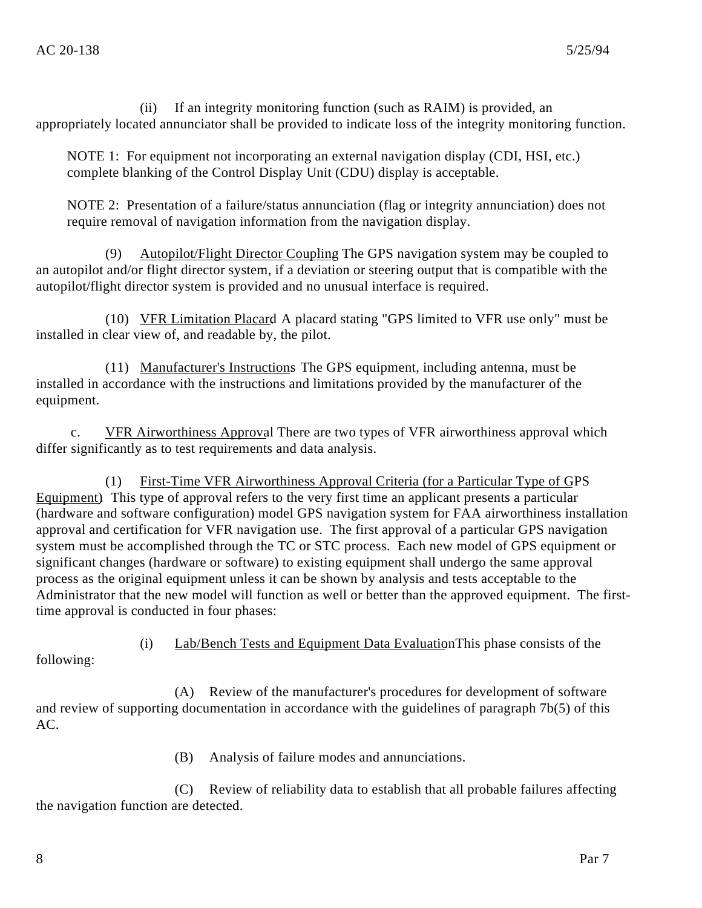(ii) If an integrity monitoring function (such as RAIM) is provided, an appropriately located annunciator shall be provided to indicate loss of the integrity monitoring function.

NOTE 1: For equipment not incorporating an external navigation display (CDI, HSI, etc.) complete blanking of the Control Display Unit (CDU) display is acceptable.

NOTE 2: Presentation of a failure/status annunciation (flag or integrity annunciation) does not require removal of navigation information from the navigation display.

(9) Autopilot/Flight Director Coupling. The GPS navigation system may be coupled to an autopilot and/or flight director system, if a deviation or steering output that is compatible with the autopilot/flight director system is provided and no unusual interface is required.

(10) VFR Limitation Placard. A placard stating "GPS limited to VFR use only" must be installed in clear view of, and readable by, the pilot.

(11) Manufacturer's Instructions. The GPS equipment, including antenna, must be installed in accordance with the instructions and limitations provided by the manufacturer of the equipment.

c. VFR Airworthiness Approval There are two types of VFR airworthiness approval which differ significantly as to test requirements and data analysis.

(1) First-Time VFR Airworthiness Approval Criteria (for a Particular Type of GPS Equipment). This type of approval refers to the very first time an applicant presents a particular (hardware and software configuration) model GPS navigation system for FAA airworthiness installation approval and certification for VFR navigation use. The first approval of a particular GPS navigation system must be accomplished through the TC or STC process. Each new model of GPS equipment or significant changes (hardware or software) to existing equipment shall undergo the same approval process as the original equipment unless it can be shown by analysis and tests acceptable to the Administrator that the new model will function as well or better than the approved equipment. The firsttime approval is conducted in four phases:

(i) Lab/Bench Tests and Equipment Data Evaluation This phase consists of the following:

(A) Review of the manufacturer's procedures for development of software and review of supporting documentation in accordance with the guidelines of paragraph 7b(5) of this AC.

(B) Analysis of failure modes and annunciations.

(C) Review of reliability data to establish that all probable failures affecting the navigation function are detected.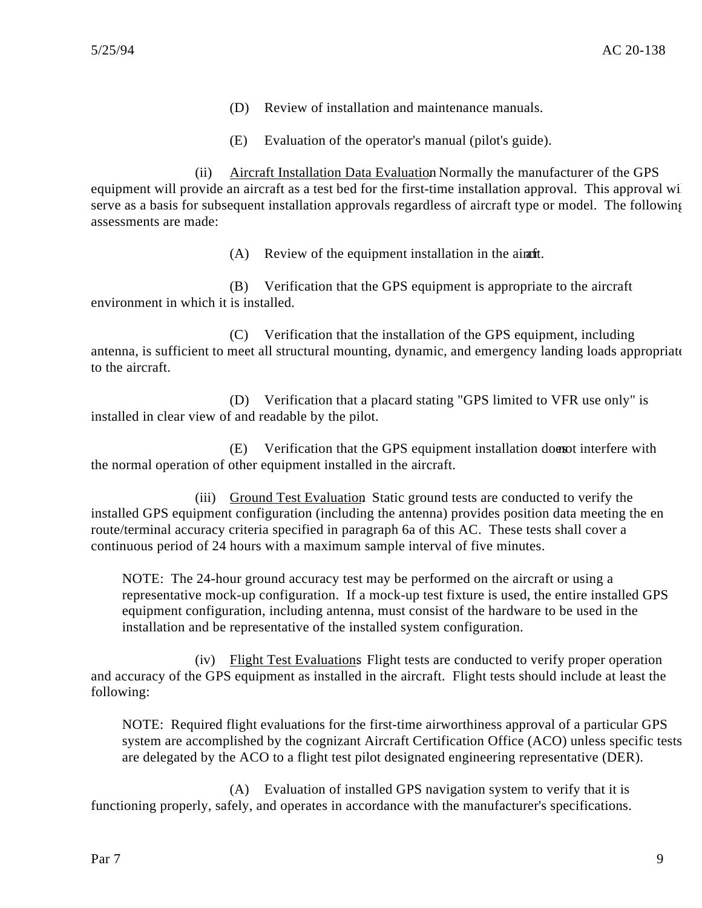- (D) Review of installation and maintenance manuals.
- (E) Evaluation of the operator's manual (pilot's guide).

(ii) Aircraft Installation Data Evaluation. Normally the manufacturer of the GPS equipment will provide an aircraft as a test bed for the first-time installation approval. This approval will serve as a basis for subsequent installation approvals regardless of aircraft type or model. The following assessments are made:

 $(A)$  Review of the equipment installation in the aircrafict.

(B) Verification that the GPS equipment is appropriate to the aircraft environment in which it is installed.

(C) Verification that the installation of the GPS equipment, including antenna, is sufficient to meet all structural mounting, dynamic, and emergency landing loads appropriate to the aircraft.

(D) Verification that a placard stating "GPS limited to VFR use only" is installed in clear view of and readable by the pilot.

(E) Verification that the GPS equipment installation does not interfere with the normal operation of other equipment installed in the aircraft.

(iii) Ground Test Evaluation. Static ground tests are conducted to verify the installed GPS equipment configuration (including the antenna) provides position data meeting the en route/terminal accuracy criteria specified in paragraph 6a of this AC. These tests shall cover a continuous period of 24 hours with a maximum sample interval of five minutes.

NOTE: The 24-hour ground accuracy test may be performed on the aircraft or using a representative mock-up configuration. If a mock-up test fixture is used, the entire installed GPS equipment configuration, including antenna, must consist of the hardware to be used in the installation and be representative of the installed system configuration.

(iv) Flight Test Evaluations. Flight tests are conducted to verify proper operation and accuracy of the GPS equipment as installed in the aircraft. Flight tests should include at least the following:

NOTE: Required flight evaluations for the first-time airworthiness approval of a particular GPS system are accomplished by the cognizant Aircraft Certification Office (ACO) unless specific tests are delegated by the ACO to a flight test pilot designated engineering representative (DER).

(A) Evaluation of installed GPS navigation system to verify that it is functioning properly, safely, and operates in accordance with the manufacturer's specifications.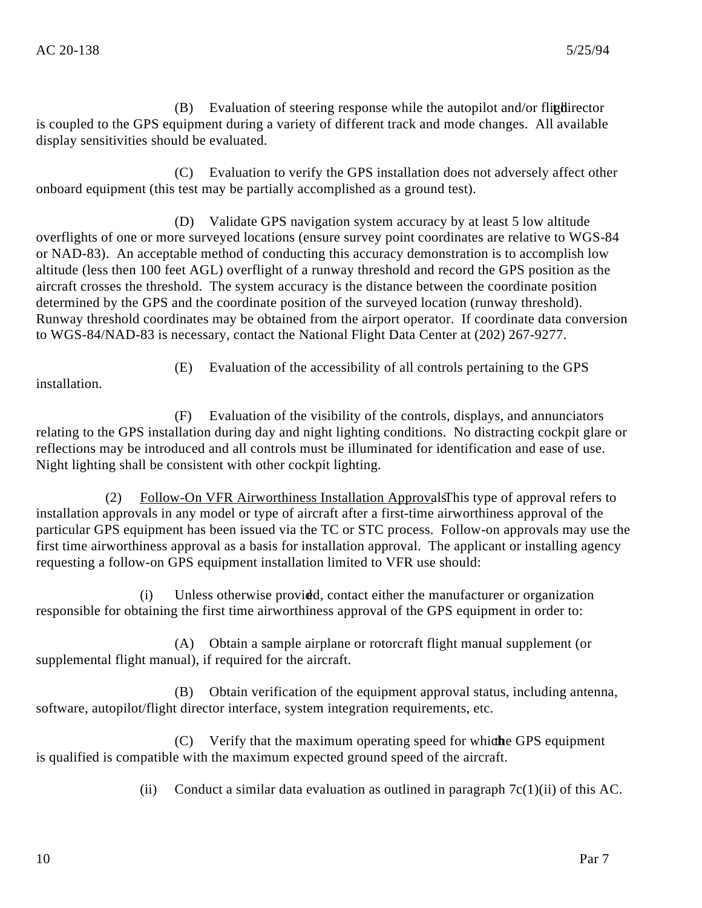$(B)$  Evaluation of steering response while the autopilot and/or flighted the Euler director is coupled to the GPS equipment during a variety of different track and mode changes. All available display sensitivities should be evaluated.

(C) Evaluation to verify the GPS installation does not adversely affect other onboard equipment (this test may be partially accomplished as a ground test).

(D) Validate GPS navigation system accuracy by at least 5 low altitude overflights of one or more surveyed locations (ensure survey point coordinates are relative to WGS-84 or NAD-83). An acceptable method of conducting this accuracy demonstration is to accomplish low altitude (less then 100 feet AGL) overflight of a runway threshold and record the GPS position as the aircraft crosses the threshold. The system accuracy is the distance between the coordinate position determined by the GPS and the coordinate position of the surveyed location (runway threshold). Runway threshold coordinates may be obtained from the airport operator. If coordinate data conversion to WGS-84/NAD-83 is necessary, contact the National Flight Data Center at (202) 267-9277.

installation.

(E) Evaluation of the accessibility of all controls pertaining to the GPS

(F) Evaluation of the visibility of the controls, displays, and annunciators relating to the GPS installation during day and night lighting conditions. No distracting cockpit glare or reflections may be introduced and all controls must be illuminated for identification and ease of use. Night lighting shall be consistent with other cockpit lighting.

(2) Follow-On VFR Airworthiness Installation Approvals This type of approval refers to installation approvals in any model or type of aircraft after a first-time airworthiness approval of the particular GPS equipment has been issued via the TC or STC process. Follow-on approvals may use the first time airworthiness approval as a basis for installation approval. The applicant or installing agency requesting a follow-on GPS equipment installation limited to VFR use should:

(i) Unless otherwise provided, contact either the manufacturer or organization responsible for obtaining the first time airworthiness approval of the GPS equipment in order to:

(A) Obtain a sample airplane or rotorcraft flight manual supplement (or supplemental flight manual), if required for the aircraft.

(B) Obtain verification of the equipment approval status, including antenna, software, autopilot/flight director interface, system integration requirements, etc.

(C) Verify that the maximum operating speed for which the GPS equipment is qualified is compatible with the maximum expected ground speed of the aircraft.

(ii) Conduct a similar data evaluation as outlined in paragraph  $7c(1)(ii)$  of this AC.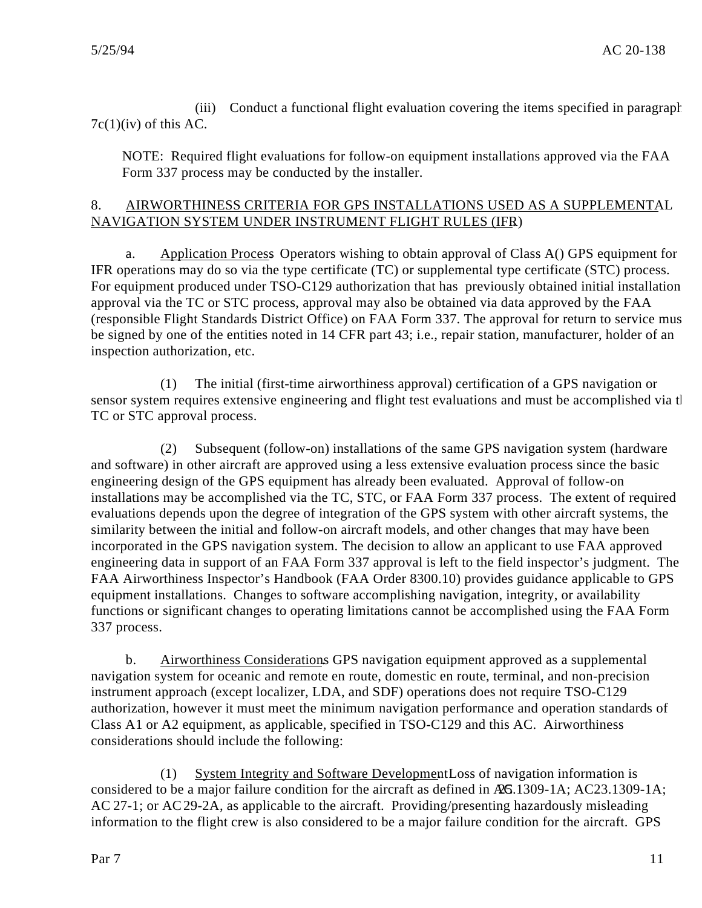(iii) Conduct a functional flight evaluation covering the items specified in paragraph  $7c(1)(iv)$  of this AC.

NOTE: Required flight evaluations for follow-on equipment installations approved via the FAA Form 337 process may be conducted by the installer.

# 8. AIRWORTHINESS CRITERIA FOR GPS INSTALLATIONS USED AS A SUPPLEMENTAL NAVIGATION SYSTEM UNDER INSTRUMENT FLIGHT RULES (IFR).

a. Application Process. Operators wishing to obtain approval of Class A() GPS equipment for IFR operations may do so via the type certificate (TC) or supplemental type certificate (STC) process. For equipment produced under TSO-C129 authorization that has previously obtained initial installation approval via the TC or STC process, approval may also be obtained via data approved by the FAA (responsible Flight Standards District Office) on FAA Form 337. The approval for return to service must be signed by one of the entities noted in 14 CFR part 43; i.e., repair station, manufacturer, holder of an inspection authorization, etc.

(1) The initial (first-time airworthiness approval) certification of a GPS navigation or sensor system requires extensive engineering and flight test evaluations and must be accomplished via the TC or STC approval process.

(2) Subsequent (follow-on) installations of the same GPS navigation system (hardware and software) in other aircraft are approved using a less extensive evaluation process since the basic engineering design of the GPS equipment has already been evaluated. Approval of follow-on installations may be accomplished via the TC, STC, or FAA Form 337 process. The extent of required evaluations depends upon the degree of integration of the GPS system with other aircraft systems, the similarity between the initial and follow-on aircraft models, and other changes that may have been incorporated in the GPS navigation system. The decision to allow an applicant to use FAA approved engineering data in support of an FAA Form 337 approval is left to the field inspector's judgment. The FAA Airworthiness Inspector's Handbook (FAA Order 8300.10) provides guidance applicable to GPS equipment installations. Changes to software accomplishing navigation, integrity, or availability functions or significant changes to operating limitations cannot be accomplished using the FAA Form 337 process.

b. Airworthiness Considerations. GPS navigation equipment approved as a supplemental navigation system for oceanic and remote en route, domestic en route, terminal, and non-precision instrument approach (except localizer, LDA, and SDF) operations does not require TSO-C129 authorization, however it must meet the minimum navigation performance and operation standards of Class A1 or A2 equipment, as applicable, specified in TSO-C129 and this AC. Airworthiness considerations should include the following:

(1) System Integrity and Software Development Loss of navigation information is considered to be a major failure condition for the aircraft as defined in AG.1309-1A; AC23.1309-1A; AC 27-1; or AC 29-2A, as applicable to the aircraft. Providing/presenting hazardously misleading information to the flight crew is also considered to be a major failure condition for the aircraft. GPS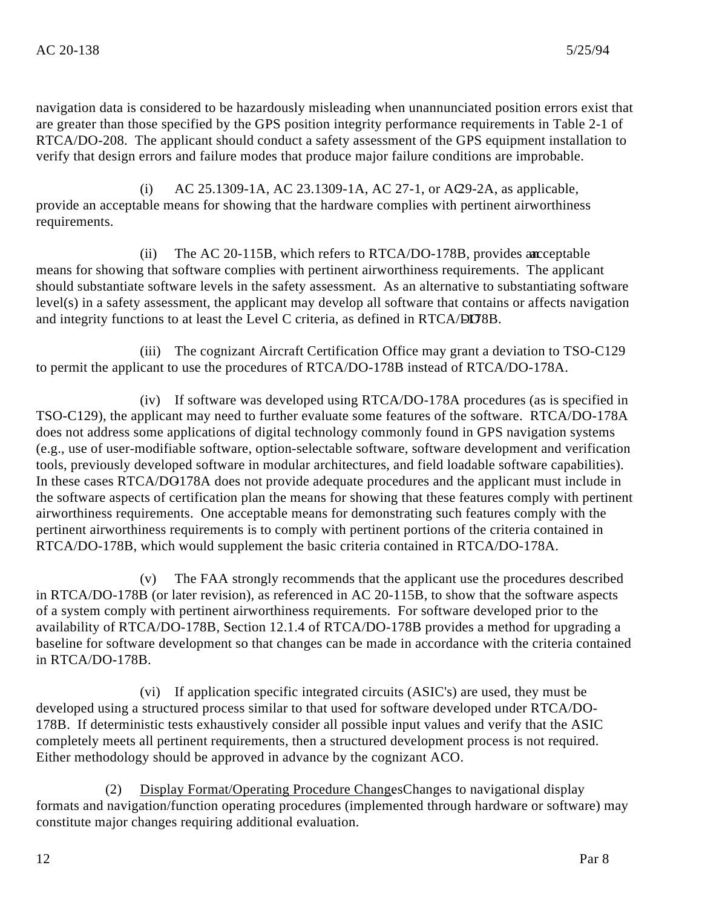navigation data is considered to be hazardously misleading when unannunciated position errors exist that are greater than those specified by the GPS position integrity performance requirements in Table 2-1 of RTCA/DO-208. The applicant should conduct a safety assessment of the GPS equipment installation to verify that design errors and failure modes that produce major failure conditions are improbable.

(i) AC 25.1309-1A, AC 23.1309-1A, AC 27-1, or AQ 9-2A, as applicable, provide an acceptable means for showing that the hardware complies with pertinent airworthiness requirements.

(ii) The AC 20-115B, which refers to RTCA/DO-178B, provides an acceptable means for showing that software complies with pertinent airworthiness requirements. The applicant should substantiate software levels in the safety assessment. As an alternative to substantiating software level(s) in a safety assessment, the applicant may develop all software that contains or affects navigation and integrity functions to at least the Level C criteria, as defined in RTCA/DO3B.

(iii) The cognizant Aircraft Certification Office may grant a deviation to TSO-C129 to permit the applicant to use the procedures of RTCA/DO-178B instead of RTCA/DO-178A.

(iv) If software was developed using RTCA/DO-178A procedures (as is specified in TSO-C129), the applicant may need to further evaluate some features of the software. RTCA/DO-178A does not address some applications of digital technology commonly found in GPS navigation systems (e.g., use of user-modifiable software, option-selectable software, software development and verification tools, previously developed software in modular architectures, and field loadable software capabilities). In these cases RTCA/DO178A does not provide adequate procedures and the applicant must include in the software aspects of certification plan the means for showing that these features comply with pertinent airworthiness requirements. One acceptable means for demonstrating such features comply with the pertinent airworthiness requirements is to comply with pertinent portions of the criteria contained in RTCA/DO-178B, which would supplement the basic criteria contained in RTCA/DO-178A.

(v) The FAA strongly recommends that the applicant use the procedures described in RTCA/DO-178B (or later revision), as referenced in AC 20-115B, to show that the software aspects of a system comply with pertinent airworthiness requirements. For software developed prior to the availability of RTCA/DO-178B, Section 12.1.4 of RTCA/DO-178B provides a method for upgrading a baseline for software development so that changes can be made in accordance with the criteria contained in RTCA/DO-178B.

(vi) If application specific integrated circuits (ASIC's) are used, they must be developed using a structured process similar to that used for software developed under RTCA/DO-178B. If deterministic tests exhaustively consider all possible input values and verify that the ASIC completely meets all pertinent requirements, then a structured development process is not required. Either methodology should be approved in advance by the cognizant ACO.

(2) Display Format/Operating Procedure ChangesChanges to navigational display formats and navigation/function operating procedures (implemented through hardware or software) may constitute major changes requiring additional evaluation.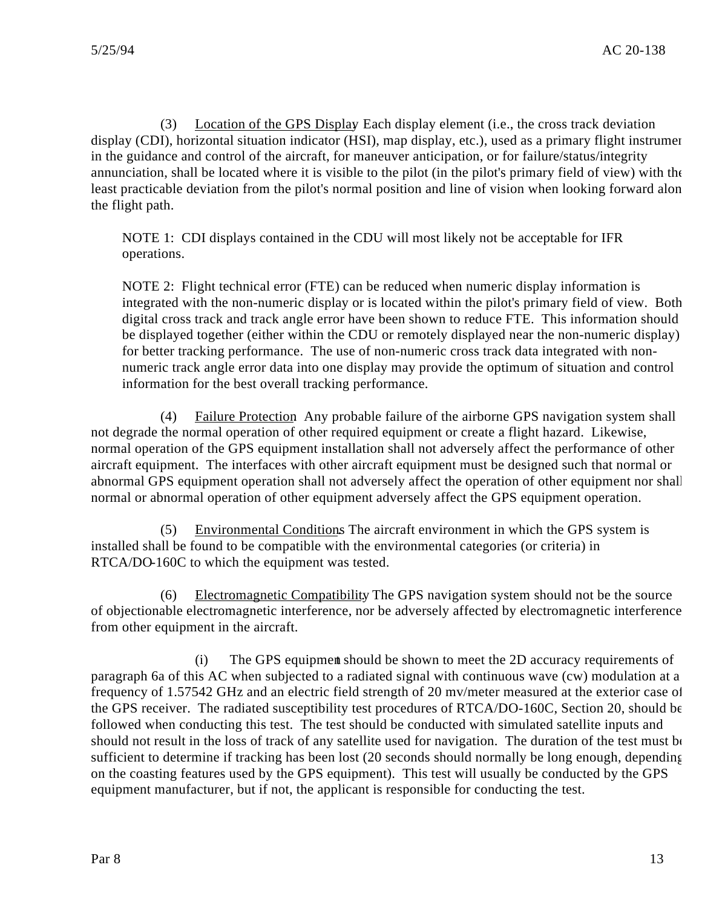(3) Location of the GPS Display. Each display element (i.e., the cross track deviation display (CDI), horizontal situation indicator (HSI), map display, etc.), used as a primary flight instrumer in the guidance and control of the aircraft, for maneuver anticipation, or for failure/status/integrity annunciation, shall be located where it is visible to the pilot (in the pilot's primary field of view) with the least practicable deviation from the pilot's normal position and line of vision when looking forward along the flight path.

NOTE 1: CDI displays contained in the CDU will most likely not be acceptable for IFR operations.

NOTE 2: Flight technical error (FTE) can be reduced when numeric display information is integrated with the non-numeric display or is located within the pilot's primary field of view. Both digital cross track and track angle error have been shown to reduce FTE. This information should be displayed together (either within the CDU or remotely displayed near the non-numeric display) for better tracking performance. The use of non-numeric cross track data integrated with nonnumeric track angle error data into one display may provide the optimum of situation and control information for the best overall tracking performance.

(4) Failure Protection. Any probable failure of the airborne GPS navigation system shall not degrade the normal operation of other required equipment or create a flight hazard. Likewise, normal operation of the GPS equipment installation shall not adversely affect the performance of other aircraft equipment. The interfaces with other aircraft equipment must be designed such that normal or abnormal GPS equipment operation shall not adversely affect the operation of other equipment nor shall normal or abnormal operation of other equipment adversely affect the GPS equipment operation.

(5) Environmental Conditions. The aircraft environment in which the GPS system is installed shall be found to be compatible with the environmental categories (or criteria) in RTCA/DO-160C to which the equipment was tested.

(6) Electromagnetic Compatibility. The GPS navigation system should not be the source of objectionable electromagnetic interference, nor be adversely affected by electromagnetic interference from other equipment in the aircraft.

(i) The GPS equipment should be shown to meet the 2D accuracy requirements of paragraph 6a of this AC when subjected to a radiated signal with continuous wave (cw) modulation at a frequency of 1.57542 GHz and an electric field strength of 20 mv/meter measured at the exterior case of the GPS receiver. The radiated susceptibility test procedures of RTCA/DO-160C, Section 20, should be followed when conducting this test. The test should be conducted with simulated satellite inputs and should not result in the loss of track of any satellite used for navigation. The duration of the test must be sufficient to determine if tracking has been lost (20 seconds should normally be long enough, depending on the coasting features used by the GPS equipment). This test will usually be conducted by the GPS equipment manufacturer, but if not, the applicant is responsible for conducting the test.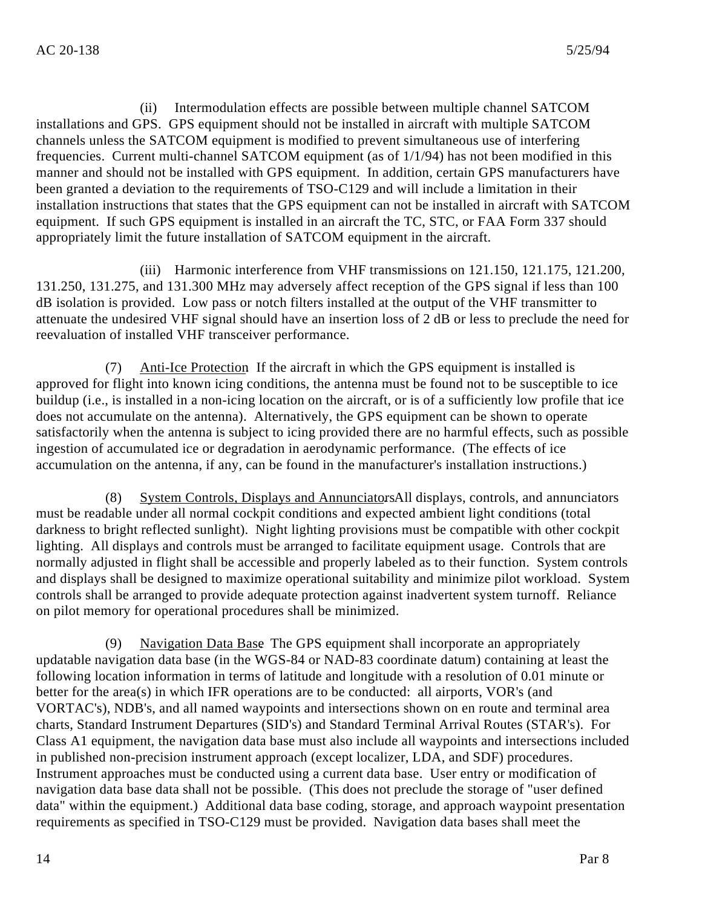(ii) Intermodulation effects are possible between multiple channel SATCOM installations and GPS. GPS equipment should not be installed in aircraft with multiple SATCOM channels unless the SATCOM equipment is modified to prevent simultaneous use of interfering frequencies. Current multi-channel SATCOM equipment (as of 1/1/94) has not been modified in this manner and should not be installed with GPS equipment. In addition, certain GPS manufacturers have been granted a deviation to the requirements of TSO-C129 and will include a limitation in their installation instructions that states that the GPS equipment can not be installed in aircraft with SATCOM equipment. If such GPS equipment is installed in an aircraft the TC, STC, or FAA Form 337 should appropriately limit the future installation of SATCOM equipment in the aircraft.

(iii) Harmonic interference from VHF transmissions on 121.150, 121.175, 121.200, 131.250, 131.275, and 131.300 MHz may adversely affect reception of the GPS signal if less than 100 dB isolation is provided. Low pass or notch filters installed at the output of the VHF transmitter to attenuate the undesired VHF signal should have an insertion loss of 2 dB or less to preclude the need for reevaluation of installed VHF transceiver performance.

(7) Anti-Ice Protection. If the aircraft in which the GPS equipment is installed is approved for flight into known icing conditions, the antenna must be found not to be susceptible to ice buildup (i.e., is installed in a non-icing location on the aircraft, or is of a sufficiently low profile that ice does not accumulate on the antenna). Alternatively, the GPS equipment can be shown to operate satisfactorily when the antenna is subject to icing provided there are no harmful effects, such as possible ingestion of accumulated ice or degradation in aerodynamic performance. (The effects of ice accumulation on the antenna, if any, can be found in the manufacturer's installation instructions.)

(8) System Controls, Displays and Annunciators All displays, controls, and annunciators must be readable under all normal cockpit conditions and expected ambient light conditions (total darkness to bright reflected sunlight). Night lighting provisions must be compatible with other cockpit lighting. All displays and controls must be arranged to facilitate equipment usage. Controls that are normally adjusted in flight shall be accessible and properly labeled as to their function. System controls and displays shall be designed to maximize operational suitability and minimize pilot workload. System controls shall be arranged to provide adequate protection against inadvertent system turnoff. Reliance on pilot memory for operational procedures shall be minimized.

(9) Navigation Data Base. The GPS equipment shall incorporate an appropriately updatable navigation data base (in the WGS-84 or NAD-83 coordinate datum) containing at least the following location information in terms of latitude and longitude with a resolution of 0.01 minute or better for the area(s) in which IFR operations are to be conducted: all airports, VOR's (and VORTAC's), NDB's, and all named waypoints and intersections shown on en route and terminal area charts, Standard Instrument Departures (SID's) and Standard Terminal Arrival Routes (STAR's). For Class A1 equipment, the navigation data base must also include all waypoints and intersections included in published non-precision instrument approach (except localizer, LDA, and SDF) procedures. Instrument approaches must be conducted using a current data base. User entry or modification of navigation data base data shall not be possible. (This does not preclude the storage of "user defined data" within the equipment.) Additional data base coding, storage, and approach waypoint presentation requirements as specified in TSO-C129 must be provided. Navigation data bases shall meet the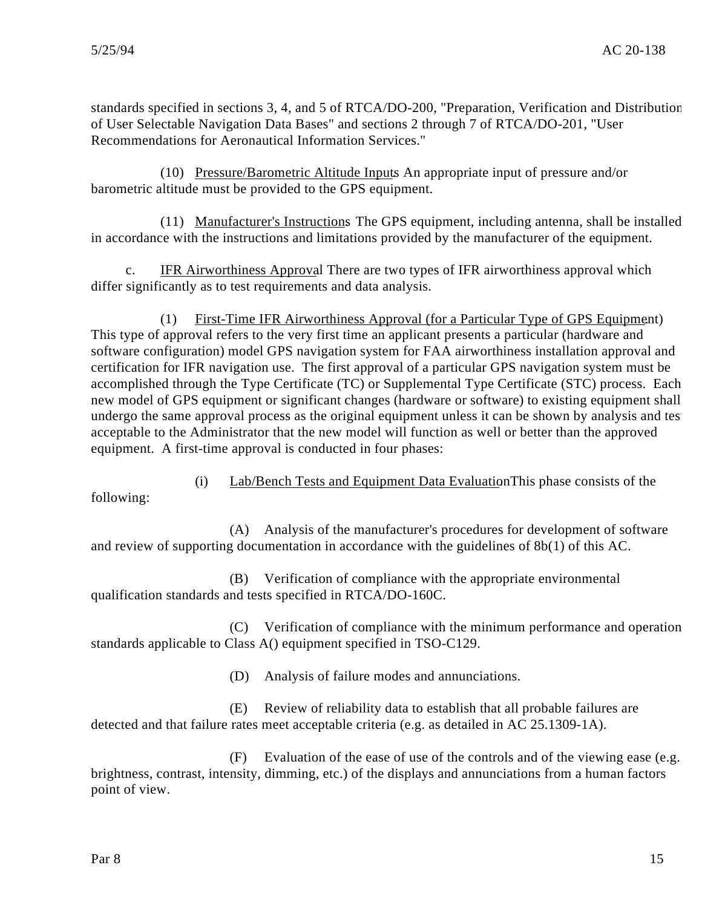standards specified in sections 3, 4, and 5 of RTCA/DO-200, "Preparation, Verification and Distribution of User Selectable Navigation Data Bases" and sections 2 through 7 of RTCA/DO-201, "User Recommendations for Aeronautical Information Services."

(10) Pressure/Barometric Altitude Inputs. An appropriate input of pressure and/or barometric altitude must be provided to the GPS equipment.

(11) Manufacturer's Instructions. The GPS equipment, including antenna, shall be installed in accordance with the instructions and limitations provided by the manufacturer of the equipment.

c. IFR Airworthiness Approval. There are two types of IFR airworthiness approval which differ significantly as to test requirements and data analysis.

(1) First-Time IFR Airworthiness Approval (for a Particular Type of GPS Equipment) . This type of approval refers to the very first time an applicant presents a particular (hardware and software configuration) model GPS navigation system for FAA airworthiness installation approval and certification for IFR navigation use. The first approval of a particular GPS navigation system must be accomplished through the Type Certificate (TC) or Supplemental Type Certificate (STC) process. Each new model of GPS equipment or significant changes (hardware or software) to existing equipment shall undergo the same approval process as the original equipment unless it can be shown by analysis and test acceptable to the Administrator that the new model will function as well or better than the approved equipment. A first-time approval is conducted in four phases:

following:

(A) Analysis of the manufacturer's procedures for development of software and review of supporting documentation in accordance with the guidelines of 8b(1) of this AC.

(i) Lab/Bench Tests and Equipment Data Evaluation. This phase consists of the

(B) Verification of compliance with the appropriate environmental qualification standards and tests specified in RTCA/DO-160C.

(C) Verification of compliance with the minimum performance and operation standards applicable to Class A() equipment specified in TSO-C129.

(D) Analysis of failure modes and annunciations.

(E) Review of reliability data to establish that all probable failures are detected and that failure rates meet acceptable criteria (e.g. as detailed in AC 25.1309-1A).

(F) Evaluation of the ease of use of the controls and of the viewing ease (e.g. brightness, contrast, intensity, dimming, etc.) of the displays and annunciations from a human factors point of view.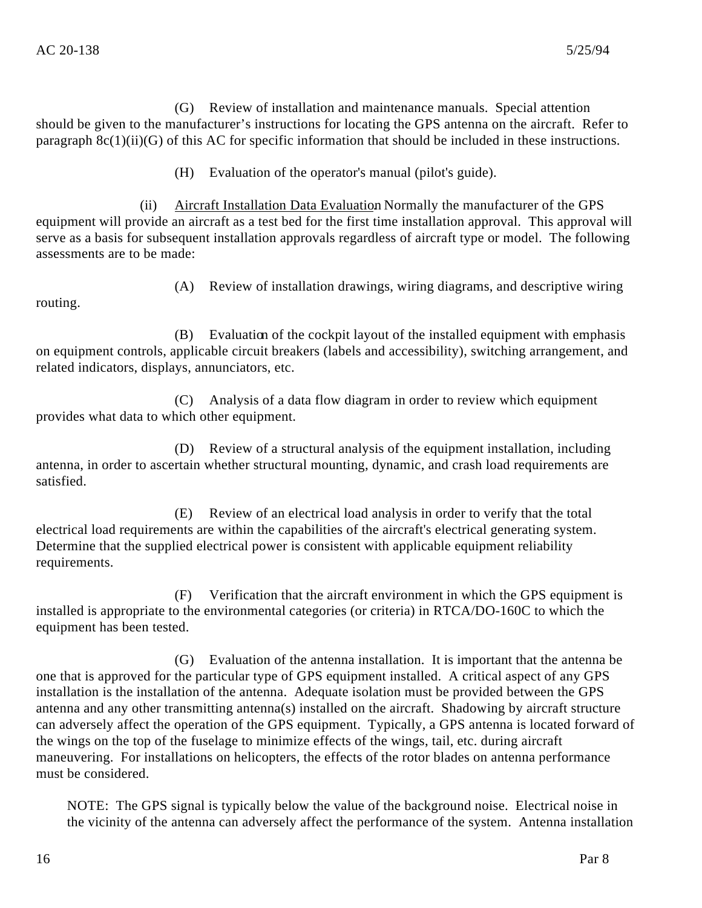(G) Review of installation and maintenance manuals. Special attention should be given to the manufacturer's instructions for locating the GPS antenna on the aircraft. Refer to paragraph 8c(1)(ii)(G) of this AC for specific information that should be included in these instructions.

(H) Evaluation of the operator's manual (pilot's guide).

(ii) Aircraft Installation Data Evaluation. Normally the manufacturer of the GPS equipment will provide an aircraft as a test bed for the first time installation approval. This approval will serve as a basis for subsequent installation approvals regardless of aircraft type or model. The following assessments are to be made:

routing.

(A) Review of installation drawings, wiring diagrams, and descriptive wiring

(B) Evaluation of the cockpit layout of the installed equipment with emphasis on equipment controls, applicable circuit breakers (labels and accessibility), switching arrangement, and related indicators, displays, annunciators, etc.

(C) Analysis of a data flow diagram in order to review which equipment provides what data to which other equipment.

(D) Review of a structural analysis of the equipment installation, including antenna, in order to ascertain whether structural mounting, dynamic, and crash load requirements are satisfied.

(E) Review of an electrical load analysis in order to verify that the total electrical load requirements are within the capabilities of the aircraft's electrical generating system. Determine that the supplied electrical power is consistent with applicable equipment reliability requirements.

(F) Verification that the aircraft environment in which the GPS equipment is installed is appropriate to the environmental categories (or criteria) in RTCA/DO-160C to which the equipment has been tested.

(G) Evaluation of the antenna installation. It is important that the antenna be one that is approved for the particular type of GPS equipment installed. A critical aspect of any GPS installation is the installation of the antenna. Adequate isolation must be provided between the GPS antenna and any other transmitting antenna(s) installed on the aircraft. Shadowing by aircraft structure can adversely affect the operation of the GPS equipment. Typically, a GPS antenna is located forward of the wings on the top of the fuselage to minimize effects of the wings, tail, etc. during aircraft maneuvering. For installations on helicopters, the effects of the rotor blades on antenna performance must be considered.

NOTE: The GPS signal is typically below the value of the background noise. Electrical noise in the vicinity of the antenna can adversely affect the performance of the system. Antenna installation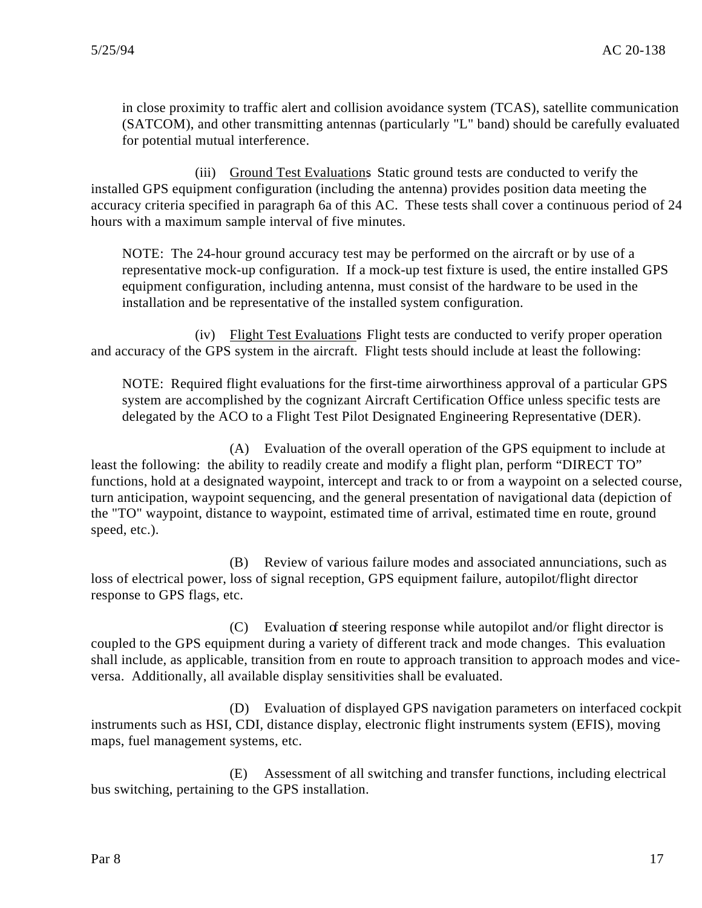in close proximity to traffic alert and collision avoidance system (TCAS), satellite communication (SATCOM), and other transmitting antennas (particularly "L" band) should be carefully evaluated for potential mutual interference.

(iii) Ground Test Evaluations Static ground tests are conducted to verify the installed GPS equipment configuration (including the antenna) provides position data meeting the accuracy criteria specified in paragraph 6a of this AC. These tests shall cover a continuous period of 24 hours with a maximum sample interval of five minutes.

NOTE: The 24-hour ground accuracy test may be performed on the aircraft or by use of a representative mock-up configuration. If a mock-up test fixture is used, the entire installed GPS equipment configuration, including antenna, must consist of the hardware to be used in the installation and be representative of the installed system configuration.

(iv) Flight Test Evaluations. Flight tests are conducted to verify proper operation and accuracy of the GPS system in the aircraft. Flight tests should include at least the following:

NOTE: Required flight evaluations for the first-time airworthiness approval of a particular GPS system are accomplished by the cognizant Aircraft Certification Office unless specific tests are delegated by the ACO to a Flight Test Pilot Designated Engineering Representative (DER).

(A) Evaluation of the overall operation of the GPS equipment to include at least the following: the ability to readily create and modify a flight plan, perform "DIRECT TO" functions, hold at a designated waypoint, intercept and track to or from a waypoint on a selected course, turn anticipation, waypoint sequencing, and the general presentation of navigational data (depiction of the "TO" waypoint, distance to waypoint, estimated time of arrival, estimated time en route, ground speed, etc.).

(B) Review of various failure modes and associated annunciations, such as loss of electrical power, loss of signal reception, GPS equipment failure, autopilot/flight director response to GPS flags, etc.

(C) Evaluation of steering response while autopilot and/or flight director is coupled to the GPS equipment during a variety of different track and mode changes. This evaluation shall include, as applicable, transition from en route to approach transition to approach modes and viceversa. Additionally, all available display sensitivities shall be evaluated.

(D) Evaluation of displayed GPS navigation parameters on interfaced cockpit instruments such as HSI, CDI, distance display, electronic flight instruments system (EFIS), moving maps, fuel management systems, etc.

(E) Assessment of all switching and transfer functions, including electrical bus switching, pertaining to the GPS installation.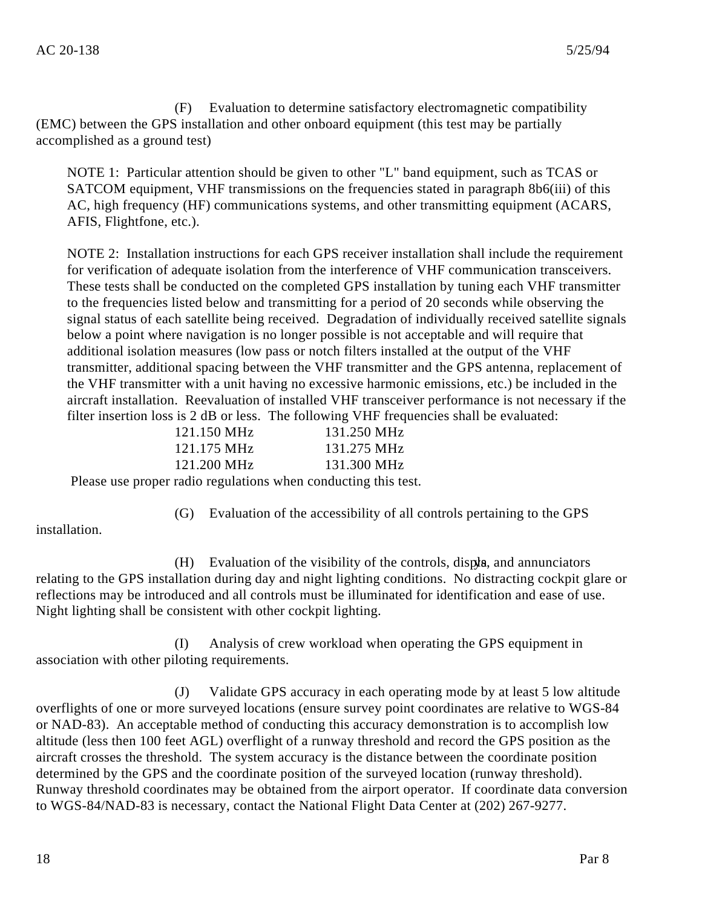(F) Evaluation to determine satisfactory electromagnetic compatibility (EMC) between the GPS installation and other onboard equipment (this test may be partially accomplished as a ground test)

NOTE 1: Particular attention should be given to other "L" band equipment, such as TCAS or SATCOM equipment, VHF transmissions on the frequencies stated in paragraph 8b6(iii) of this AC, high frequency (HF) communications systems, and other transmitting equipment (ACARS, AFIS, Flightfone, etc.).

NOTE 2: Installation instructions for each GPS receiver installation shall include the requirement for verification of adequate isolation from the interference of VHF communication transceivers. These tests shall be conducted on the completed GPS installation by tuning each VHF transmitter to the frequencies listed below and transmitting for a period of 20 seconds while observing the signal status of each satellite being received. Degradation of individually received satellite signals below a point where navigation is no longer possible is not acceptable and will require that additional isolation measures (low pass or notch filters installed at the output of the VHF transmitter, additional spacing between the VHF transmitter and the GPS antenna, replacement of the VHF transmitter with a unit having no excessive harmonic emissions, etc.) be included in the aircraft installation. Reevaluation of installed VHF transceiver performance is not necessary if the filter insertion loss is 2 dB or less. The following VHF frequencies shall be evaluated:

| 121.150 MHz    | 131.250 MHz |
|----------------|-------------|
| 121.175 MHz    | 131.275 MHz |
| 121.200 MHz    | 131.300 MHz |
| $\blacksquare$ |             |

Please use proper radio regulations when conducting this test.

installation.

 $(H)$  Evaluation of the visibility of the controls, displays, and annunciators relating to the GPS installation during day and night lighting conditions. No distracting cockpit glare or reflections may be introduced and all controls must be illuminated for identification and ease of use. Night lighting shall be consistent with other cockpit lighting.

(G) Evaluation of the accessibility of all controls pertaining to the GPS

(I) Analysis of crew workload when operating the GPS equipment in association with other piloting requirements.

(J) Validate GPS accuracy in each operating mode by at least 5 low altitude overflights of one or more surveyed locations (ensure survey point coordinates are relative to WGS-84 or NAD-83). An acceptable method of conducting this accuracy demonstration is to accomplish low altitude (less then 100 feet AGL) overflight of a runway threshold and record the GPS position as the aircraft crosses the threshold. The system accuracy is the distance between the coordinate position determined by the GPS and the coordinate position of the surveyed location (runway threshold). Runway threshold coordinates may be obtained from the airport operator. If coordinate data conversion to WGS-84/NAD-83 is necessary, contact the National Flight Data Center at (202) 267-9277.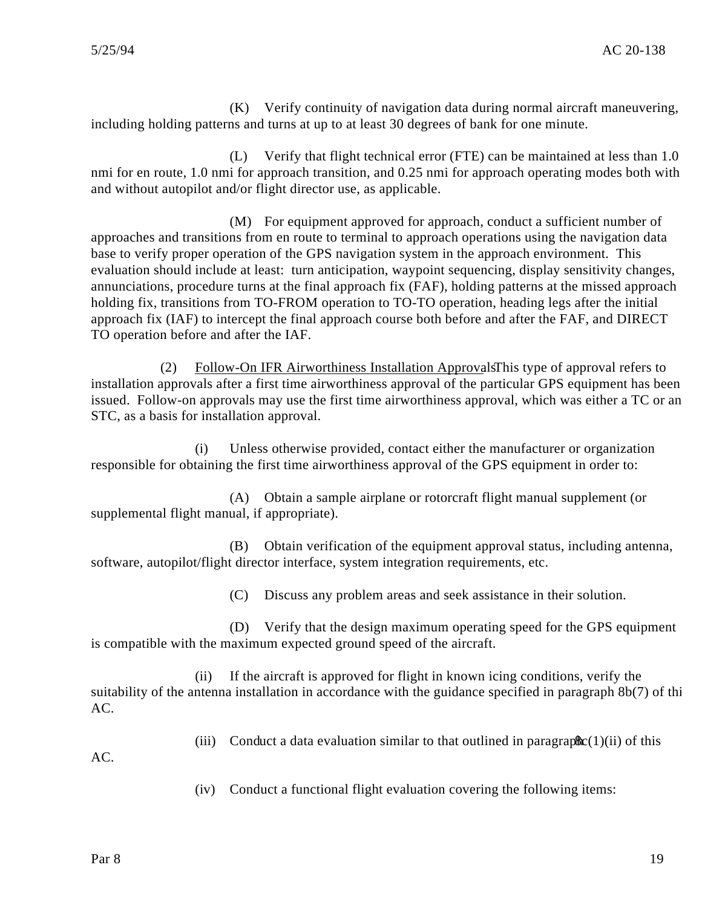(K) Verify continuity of navigation data during normal aircraft maneuvering, including holding patterns and turns at up to at least 30 degrees of bank for one minute.

(L) Verify that flight technical error (FTE) can be maintained at less than 1.0 nmi for en route, 1.0 nmi for approach transition, and 0.25 nmi for approach operating modes both with and without autopilot and/or flight director use, as applicable.

(M) For equipment approved for approach, conduct a sufficient number of approaches and transitions from en route to terminal to approach operations using the navigation data base to verify proper operation of the GPS navigation system in the approach environment. This evaluation should include at least: turn anticipation, waypoint sequencing, display sensitivity changes, annunciations, procedure turns at the final approach fix (FAF), holding patterns at the missed approach holding fix, transitions from TO-FROM operation to TO-TO operation, heading legs after the initial approach fix (IAF) to intercept the final approach course both before and after the FAF, and DIRECT TO operation before and after the IAF.

(2) Follow-On IFR Airworthiness Installation Approvals This type of approval refers to installation approvals after a first time airworthiness approval of the particular GPS equipment has been issued. Follow-on approvals may use the first time airworthiness approval, which was either a TC or an STC, as a basis for installation approval.

(i) Unless otherwise provided, contact either the manufacturer or organization responsible for obtaining the first time airworthiness approval of the GPS equipment in order to:

(A) Obtain a sample airplane or rotorcraft flight manual supplement (or supplemental flight manual, if appropriate).

(B) Obtain verification of the equipment approval status, including antenna, software, autopilot/flight director interface, system integration requirements, etc.

(C) Discuss any problem areas and seek assistance in their solution.

(D) Verify that the design maximum operating speed for the GPS equipment is compatible with the maximum expected ground speed of the aircraft.

(ii) If the aircraft is approved for flight in known icing conditions, verify the suitability of the antenna installation in accordance with the guidance specified in paragraph 8b(7) of thi  $AC<sub>1</sub>$ 

(iii) Conduct a data evaluation similar to that outlined in paragraph  $\mathcal{C}(1)(ii)$  of this

AC.

(iv) Conduct a functional flight evaluation covering the following items: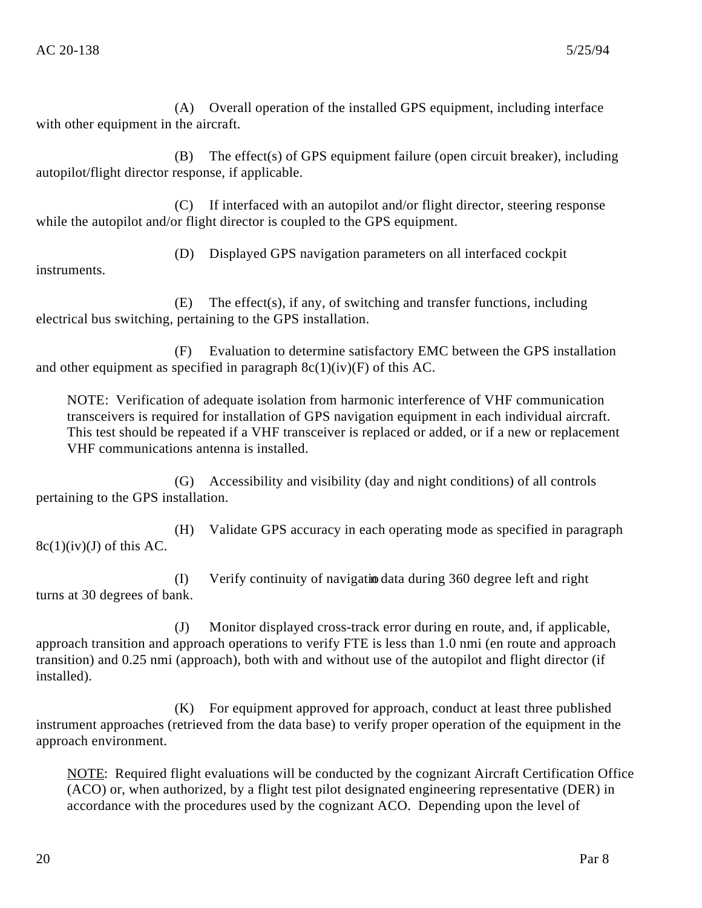(A) Overall operation of the installed GPS equipment, including interface with other equipment in the aircraft.

(B) The effect(s) of GPS equipment failure (open circuit breaker), including autopilot/flight director response, if applicable.

(C) If interfaced with an autopilot and/or flight director, steering response while the autopilot and/or flight director is coupled to the GPS equipment.

(D) Displayed GPS navigation parameters on all interfaced cockpit

instruments.

(E) The effect(s), if any, of switching and transfer functions, including electrical bus switching, pertaining to the GPS installation.

(F) Evaluation to determine satisfactory EMC between the GPS installation and other equipment as specified in paragraph  $8c(1)(iv)(F)$  of this AC.

NOTE: Verification of adequate isolation from harmonic interference of VHF communication transceivers is required for installation of GPS navigation equipment in each individual aircraft. This test should be repeated if a VHF transceiver is replaced or added, or if a new or replacement VHF communications antenna is installed.

(G) Accessibility and visibility (day and night conditions) of all controls pertaining to the GPS installation.

(H) Validate GPS accuracy in each operating mode as specified in paragraph  $8c(1)(iv)(J)$  of this AC.

(I) Verify continuity of navigation data during 360 degree left and right turns at 30 degrees of bank.

(J) Monitor displayed cross-track error during en route, and, if applicable, approach transition and approach operations to verify FTE is less than 1.0 nmi (en route and approach transition) and 0.25 nmi (approach), both with and without use of the autopilot and flight director (if installed).

(K) For equipment approved for approach, conduct at least three published instrument approaches (retrieved from the data base) to verify proper operation of the equipment in the approach environment.

NOTE: Required flight evaluations will be conducted by the cognizant Aircraft Certification Office (ACO) or, when authorized, by a flight test pilot designated engineering representative (DER) in accordance with the procedures used by the cognizant ACO. Depending upon the level of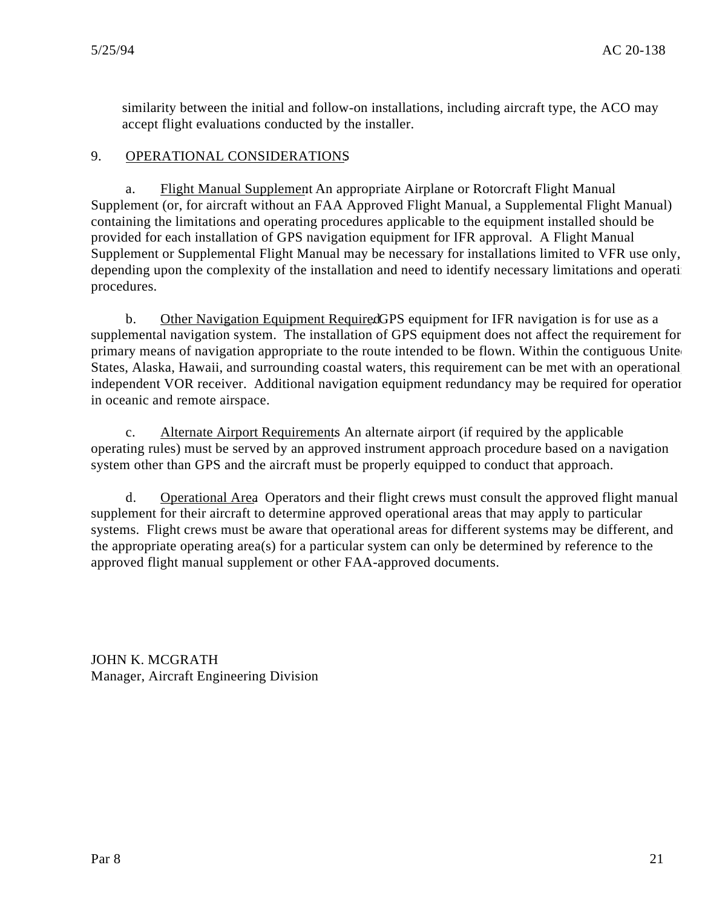similarity between the initial and follow-on installations, including aircraft type, the ACO may accept flight evaluations conducted by the installer.

# 9. OPERATIONAL CONSIDERATIONS.

a. Flight Manual Supplement An appropriate Airplane or Rotorcraft Flight Manual Supplement (or, for aircraft without an FAA Approved Flight Manual, a Supplemental Flight Manual) containing the limitations and operating procedures applicable to the equipment installed should be provided for each installation of GPS navigation equipment for IFR approval. A Flight Manual Supplement or Supplemental Flight Manual may be necessary for installations limited to VFR use only, depending upon the complexity of the installation and need to identify necessary limitations and operating procedures.

b. Other Navigation Equipment Required GPS equipment for IFR navigation is for use as a supplemental navigation system. The installation of GPS equipment does not affect the requirement for primary means of navigation appropriate to the route intended to be flown. Within the contiguous United States, Alaska, Hawaii, and surrounding coastal waters, this requirement can be met with an operational, independent VOR receiver. Additional navigation equipment redundancy may be required for operation in oceanic and remote airspace.

c. Alternate Airport Requirements. An alternate airport (if required by the applicable operating rules) must be served by an approved instrument approach procedure based on a navigation system other than GPS and the aircraft must be properly equipped to conduct that approach.

d. Operational Area. Operators and their flight crews must consult the approved flight manual supplement for their aircraft to determine approved operational areas that may apply to particular systems. Flight crews must be aware that operational areas for different systems may be different, and the appropriate operating area(s) for a particular system can only be determined by reference to the approved flight manual supplement or other FAA-approved documents.

JOHN K. MCGRATH Manager, Aircraft Engineering Division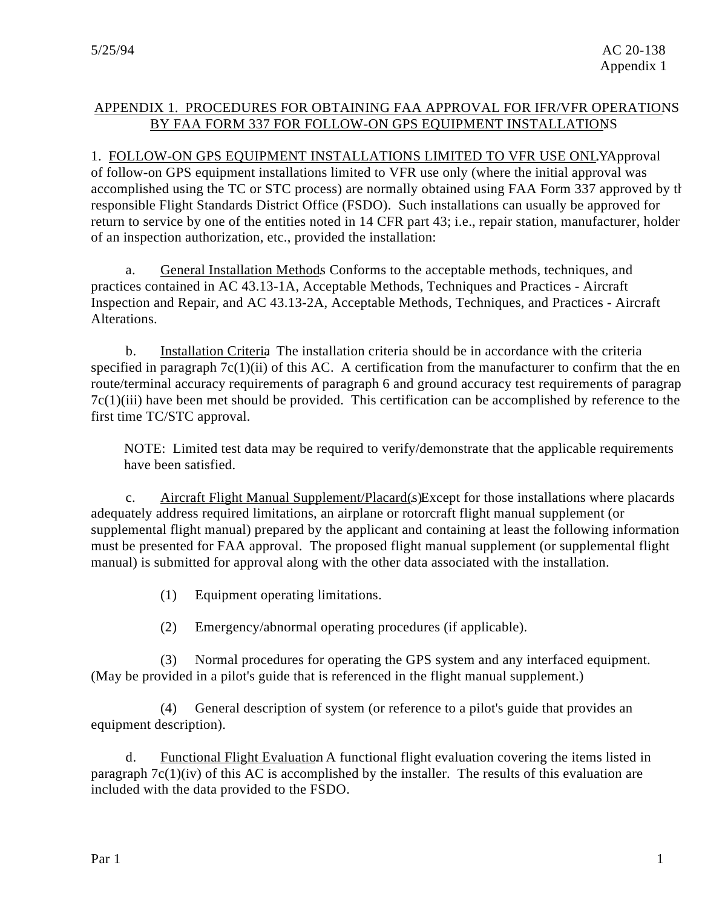# APPENDIX 1. PROCEDURES FOR OBTAINING FAA APPROVAL FOR IFR/VFR OPERATIONS BY FAA FORM 337 FOR FOLLOW-ON GPS EQUIPMENT INSTALLATIONS.

1. FOLLOW-ON GPS EQUIPMENT INSTALLATIONS LIMITED TO VFR USE ONLYApproval

of follow-on GPS equipment installations limited to VFR use only (where the initial approval was accomplished using the TC or STC process) are normally obtained using FAA Form 337 approved by the responsible Flight Standards District Office (FSDO). Such installations can usually be approved for return to service by one of the entities noted in 14 CFR part 43; i.e., repair station, manufacturer, holder of an inspection authorization, etc., provided the installation:

a. General Installation Methods. Conforms to the acceptable methods, techniques, and practices contained in AC 43.13-1A, Acceptable Methods, Techniques and Practices - Aircraft Inspection and Repair, and AC 43.13-2A, Acceptable Methods, Techniques, and Practices - Aircraft Alterations.

b. Installation Criteria. The installation criteria should be in accordance with the criteria specified in paragraph  $7c(1)(ii)$  of this AC. A certification from the manufacturer to confirm that the en route/terminal accuracy requirements of paragraph 6 and ground accuracy test requirements of paragrap 7c(1)(iii) have been met should be provided. This certification can be accomplished by reference to the first time TC/STC approval.

NOTE: Limited test data may be required to verify/demonstrate that the applicable requirements have been satisfied.

c. Aircraft Flight Manual Supplement/Placard(s) Except for those installations where placards adequately address required limitations, an airplane or rotorcraft flight manual supplement (or supplemental flight manual) prepared by the applicant and containing at least the following information must be presented for FAA approval. The proposed flight manual supplement (or supplemental flight manual) is submitted for approval along with the other data associated with the installation.

- (1) Equipment operating limitations.
- (2) Emergency/abnormal operating procedures (if applicable).

(3) Normal procedures for operating the GPS system and any interfaced equipment. (May be provided in a pilot's guide that is referenced in the flight manual supplement.)

(4) General description of system (or reference to a pilot's guide that provides an equipment description).

d. Functional Flight Evaluation. A functional flight evaluation covering the items listed in paragraph  $7c(1)(iv)$  of this AC is accomplished by the installer. The results of this evaluation are included with the data provided to the FSDO.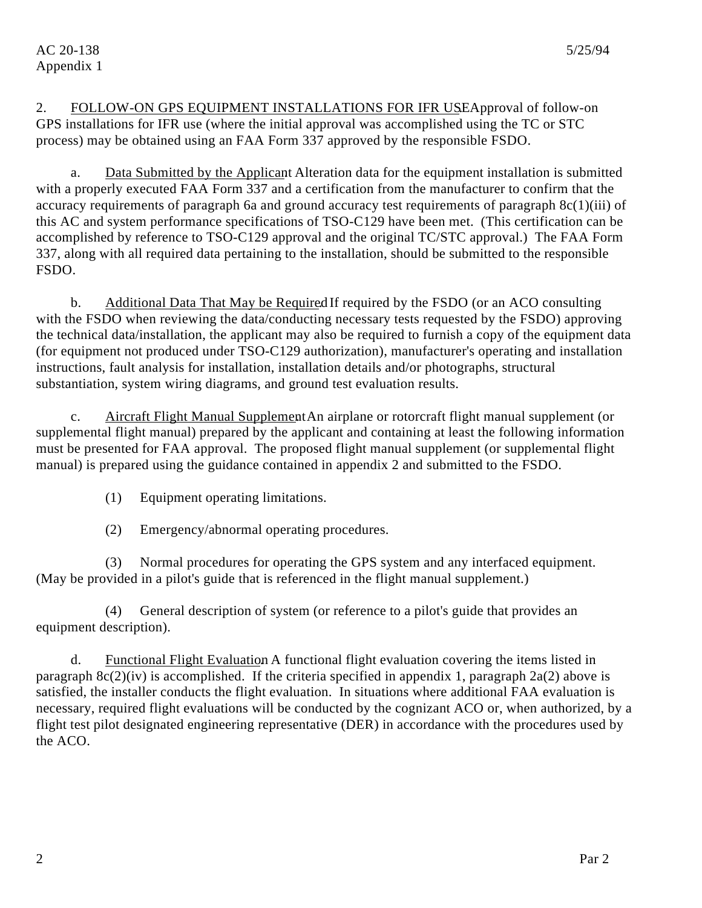2. FOLLOW-ON GPS EQUIPMENT INSTALLATIONS FOR IFR USEApproval of follow-on GPS installations for IFR use (where the initial approval was accomplished using the TC or STC process) may be obtained using an FAA Form 337 approved by the responsible FSDO.

a. Data Submitted by the Applicant. Alteration data for the equipment installation is submitted with a properly executed FAA Form 337 and a certification from the manufacturer to confirm that the accuracy requirements of paragraph 6a and ground accuracy test requirements of paragraph 8c(1)(iii) of this AC and system performance specifications of TSO-C129 have been met. (This certification can be accomplished by reference to TSO-C129 approval and the original TC/STC approval.) The FAA Form 337, along with all required data pertaining to the installation, should be submitted to the responsible FSDO.

b. Additional Data That May be Required If required by the FSDO (or an ACO consulting with the FSDO when reviewing the data/conducting necessary tests requested by the FSDO) approving the technical data/installation, the applicant may also be required to furnish a copy of the equipment data (for equipment not produced under TSO-C129 authorization), manufacturer's operating and installation instructions, fault analysis for installation, installation details and/or photographs, structural substantiation, system wiring diagrams, and ground test evaluation results.

c. Aircraft Flight Manual Supplement An airplane or rotorcraft flight manual supplement (or supplemental flight manual) prepared by the applicant and containing at least the following information must be presented for FAA approval. The proposed flight manual supplement (or supplemental flight manual) is prepared using the guidance contained in appendix 2 and submitted to the FSDO.

- (1) Equipment operating limitations.
- (2) Emergency/abnormal operating procedures.

(3) Normal procedures for operating the GPS system and any interfaced equipment. (May be provided in a pilot's guide that is referenced in the flight manual supplement.)

(4) General description of system (or reference to a pilot's guide that provides an equipment description).

d. Functional Flight Evaluation. A functional flight evaluation covering the items listed in paragraph  $8c(2)(iv)$  is accomplished. If the criteria specified in appendix 1, paragraph  $2a(2)$  above is satisfied, the installer conducts the flight evaluation. In situations where additional FAA evaluation is necessary, required flight evaluations will be conducted by the cognizant ACO or, when authorized, by a flight test pilot designated engineering representative (DER) in accordance with the procedures used by the ACO.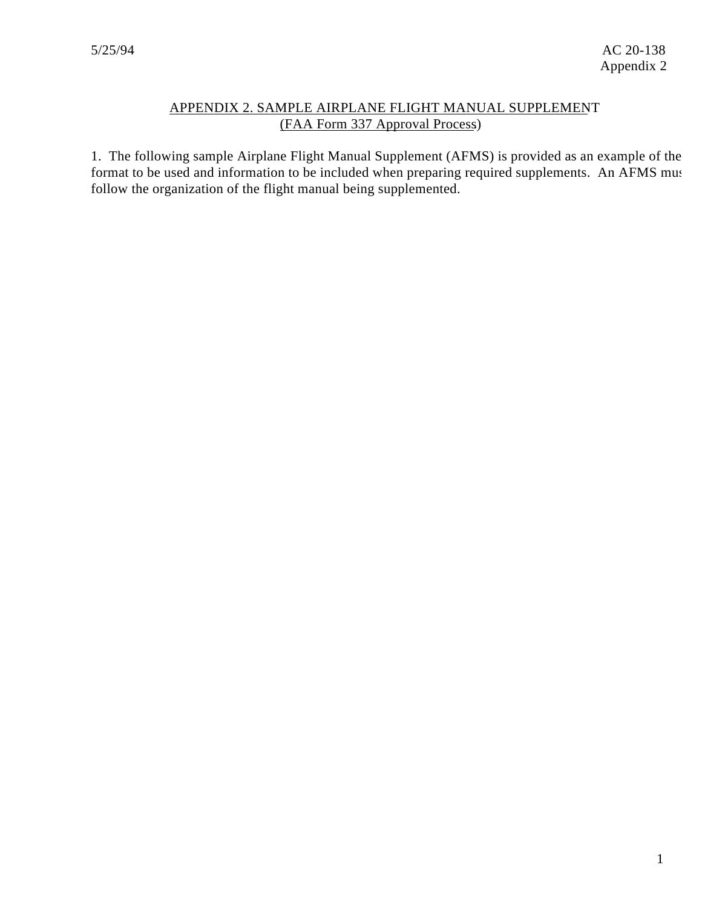# APPENDIX 2. SAMPLE AIRPLANE FLIGHT MANUAL SUPPLEMENT (FAA Form 337 Approval Process).

1. The following sample Airplane Flight Manual Supplement (AFMS) is provided as an example of the format to be used and information to be included when preparing required supplements. An AFMS must follow the organization of the flight manual being supplemented.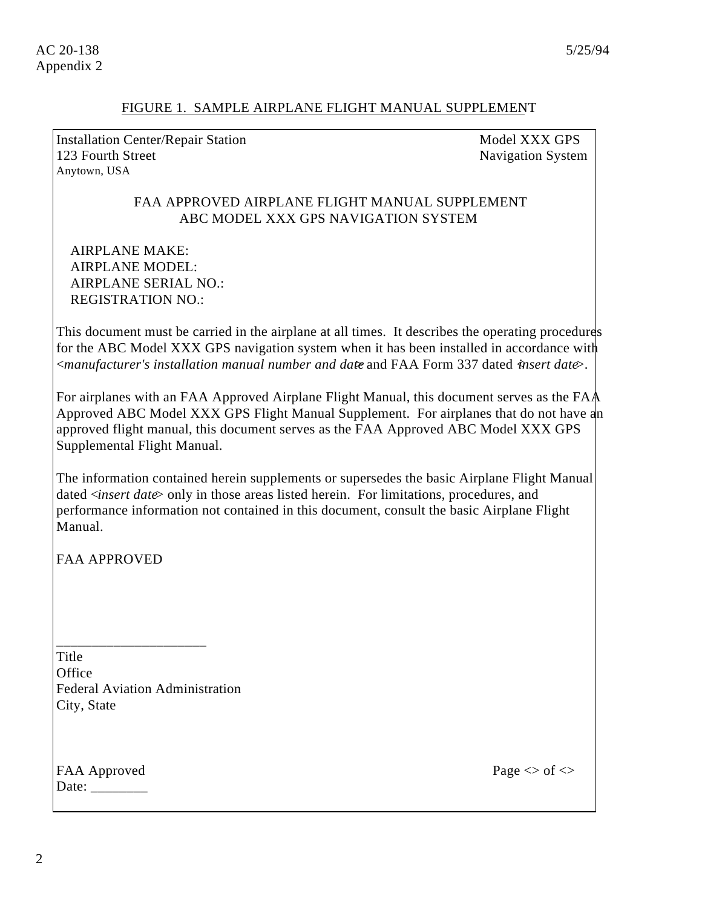#### FIGURE 1. SAMPLE AIRPLANE FLIGHT MANUAL SUPPLEMENT

Installation Center/Repair Station Model XXX GPS 123 Fourth Street Navigation System Anytown, USA

#### FAA APPROVED AIRPLANE FLIGHT MANUAL SUPPLEMENT ABC MODEL XXX GPS NAVIGATION SYSTEM

AIRPLANE MAKE: AIRPLANE MODEL: AIRPLANE SERIAL NO.: REGISTRATION NO.:

This document must be carried in the airplane at all times. It describes the operating procedures for the ABC Model XXX GPS navigation system when it has been installed in accordance with <*manufacturer's installation manual number and date*> and FAA Form 337 dated <*insert date*>.

For airplanes with an FAA Approved Airplane Flight Manual, this document serves as the FAA Approved ABC Model XXX GPS Flight Manual Supplement. For airplanes that do not have an approved flight manual, this document serves as the FAA Approved ABC Model XXX GPS Supplemental Flight Manual.

The information contained herein supplements or supersedes the basic Airplane Flight Manual dated <*insert date*> only in those areas listed herein. For limitations, procedures, and performance information not contained in this document, consult the basic Airplane Flight Manual.

FAA APPROVED

Title **Office** Federal Aviation Administration City, State

\_\_\_\_\_\_\_\_\_\_\_\_\_\_\_\_\_\_\_\_\_

FAA Approved Page  $\leq$  of  $\leq$ Date: \_\_\_\_\_\_\_\_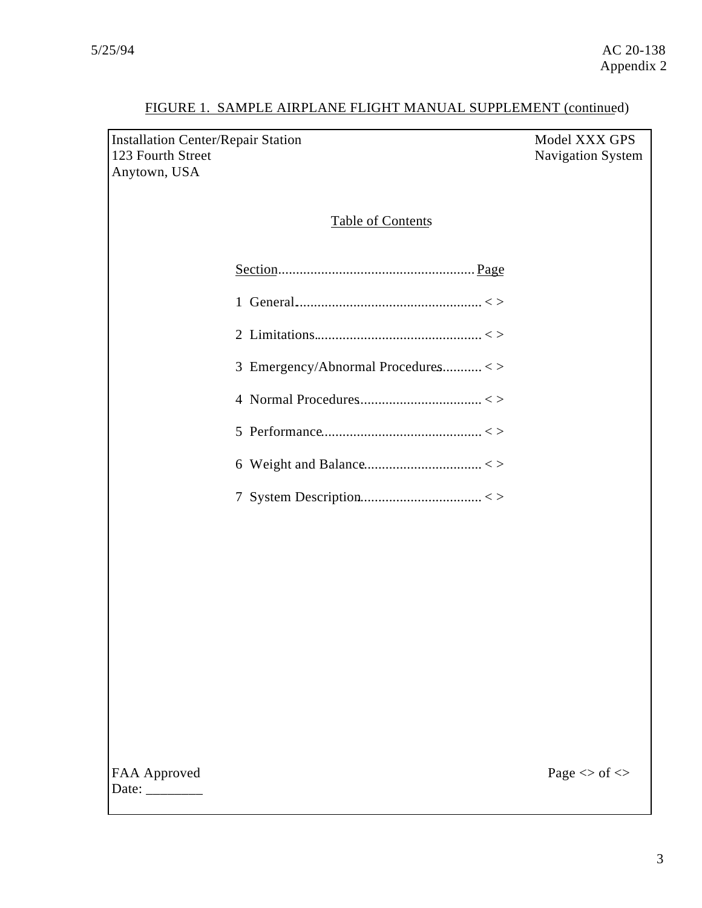| <b>Installation Center/Repair Station</b><br>123 Fourth Street<br>Anytown, USA | Model XXX GPS<br>Navigation System |
|--------------------------------------------------------------------------------|------------------------------------|
| <b>Table of Contents</b>                                                       |                                    |
|                                                                                |                                    |
|                                                                                |                                    |
|                                                                                |                                    |
| 3 Emergency/Abnormal Procedures<>                                              |                                    |
|                                                                                |                                    |
|                                                                                |                                    |
|                                                                                |                                    |
|                                                                                |                                    |
|                                                                                |                                    |
|                                                                                |                                    |
|                                                                                |                                    |
|                                                                                |                                    |
|                                                                                |                                    |
|                                                                                |                                    |
|                                                                                |                                    |
| FAA Approved                                                                   | Page $<\!>$ of $<\!>$              |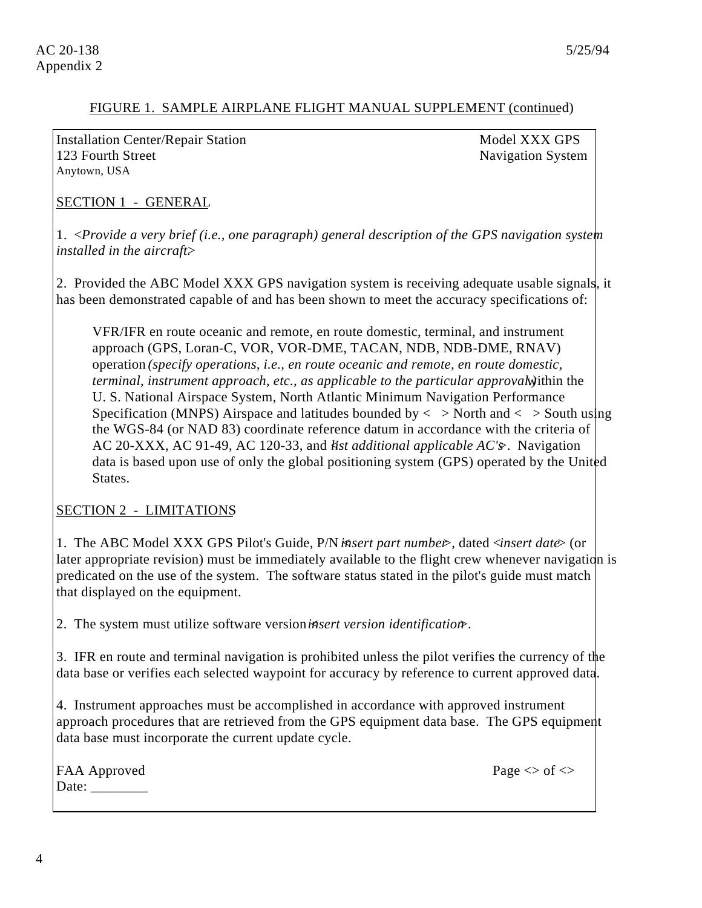Installation Center/Repair Station Model XXX GPS 123 Fourth Street Navigation System Anytown, USA

SECTION 1 - GENERAL

1. <*Provide a very brief (i.e., one paragraph) general description of the GPS navigation system installed in the aircraft>* 

2. Provided the ABC Model XXX GPS navigation system is receiving adequate usable signals, it has been demonstrated capable of and has been shown to meet the accuracy specifications of:

VFR/IFR en route oceanic and remote, en route domestic, terminal, and instrument approach (GPS, Loran-C, VOR, VOR-DME, TACAN, NDB, NDB-DME, RNAV) operation *(specify operations, i.e., en route oceanic and remote, en route domestic, terminal, instrument approach, etc., as applicable to the particular approval.*) within the U. S. National Airspace System, North Atlantic Minimum Navigation Performance Specification (MNPS) Airspace and latitudes bounded by  $\langle$  > North and  $\langle$  > South using the WGS-84 (or NAD 83) coordinate reference datum in accordance with the criteria of AC 20-XXX, AC 91-49, AC 120-33, and <*list additional applicable AC's*>. Navigation data is based upon use of only the global positioning system (GPS) operated by the United States.

#### SECTION 2 - LIMITATIONS

1. The ABC Model XXX GPS Pilot's Guide, P/N <*insert part number*>, dated <*insert date*> (or later appropriate revision) must be immediately available to the flight crew whenever navigation is predicated on the use of the system. The software status stated in the pilot's guide must match that displayed on the equipment.

2. The system must utilize software version *insert version identification*.

3. IFR en route and terminal navigation is prohibited unless the pilot verifies the currency of the data base or verifies each selected waypoint for accuracy by reference to current approved data.

4. Instrument approaches must be accomplished in accordance with approved instrument approach procedures that are retrieved from the GPS equipment data base. The GPS equipment data base must incorporate the current update cycle.

|       | FAA Approved |
|-------|--------------|
| Date: |              |

Page  $\langle \rangle$  of  $\langle \rangle$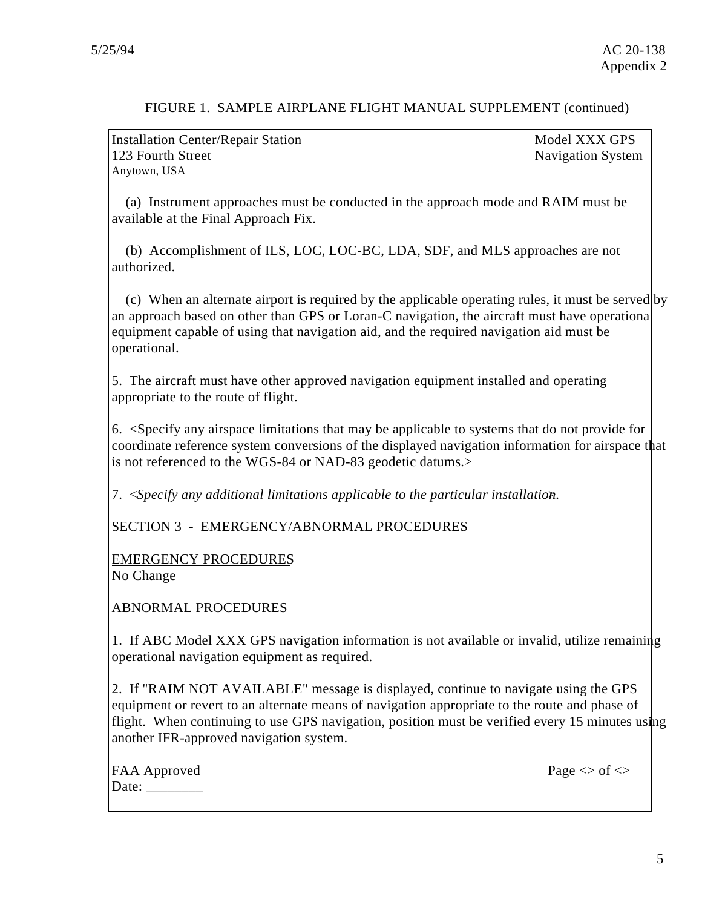Installation Center/Repair Station Model XXX GPS 123 Fourth Street Navigation System Anytown, USA

(a) Instrument approaches must be conducted in the approach mode and RAIM must be available at the Final Approach Fix.

(b) Accomplishment of ILS, LOC, LOC-BC, LDA, SDF, and MLS approaches are not authorized.

(c) When an alternate airport is required by the applicable operating rules, it must be served by an approach based on other than GPS or Loran-C navigation, the aircraft must have operational equipment capable of using that navigation aid, and the required navigation aid must be operational.

5. The aircraft must have other approved navigation equipment installed and operating appropriate to the route of flight.

6. <Specify any airspace limitations that may be applicable to systems that do not provide for coordinate reference system conversions of the displayed navigation information for airspace that is not referenced to the WGS-84 or NAD-83 geodetic datums.>

7. <*Specify any additional limitations applicable to the particular installation*.

SECTION 3 - EMERGENCY/ABNORMAL PROCEDURES

EMERGENCY PROCEDURES No Change

ABNORMAL PROCEDURES

1. If ABC Model XXX GPS navigation information is not available or invalid, utilize remaining operational navigation equipment as required.

2. If "RAIM NOT AVAILABLE" message is displayed, continue to navigate using the GPS equipment or revert to an alternate means of navigation appropriate to the route and phase of flight. When continuing to use GPS navigation, position must be verified every 15 minutes using another IFR-approved navigation system.

| FAA Approved |
|--------------|
| Date:        |

Page  $\langle \rangle$  of  $\langle \rangle$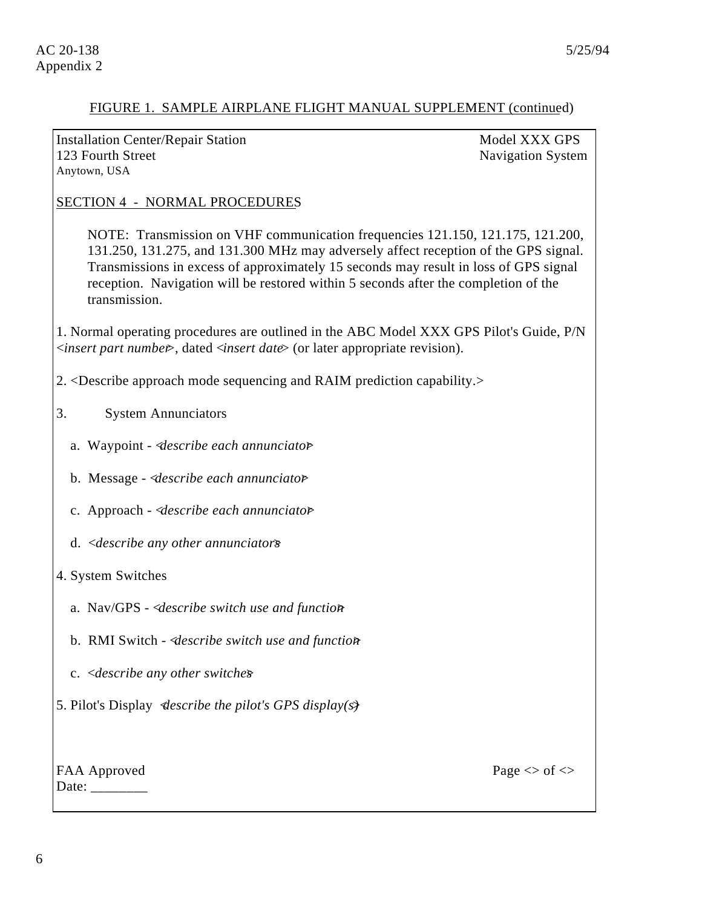Installation Center/Repair Station Model XXX GPS 123 Fourth Street Navigation System Anytown, USA

#### SECTION 4 - NORMAL PROCEDURES

NOTE: Transmission on VHF communication frequencies 121.150, 121.175, 121.200, 131.250, 131.275, and 131.300 MHz may adversely affect reception of the GPS signal. Transmissions in excess of approximately 15 seconds may result in loss of GPS signal reception. Navigation will be restored within 5 seconds after the completion of the transmission.

1. Normal operating procedures are outlined in the ABC Model XXX GPS Pilot's Guide, P/N <*insert part number*>, dated <*insert date*> (or later appropriate revision).

- 2. <Describe approach mode sequencing and RAIM prediction capability.>
- 3. System Annunciators
	- a. Waypoint <*describe each annunciator*>
	- b. Message <*describe each annunciator*>
	- c. Approach <*describe each annunciator*>
	- d. <*describe any other annunciators*>

#### 4. System Switches

- a. Nav/GPS <*describe switch use and function*>
- b. RMI Switch <*describe switch use and function*>
- c. <*describe any other switches*>

5. Pilot's Display <*describe the pilot's GPS display(s)*>

| <b>FAA Approved</b>            |
|--------------------------------|
| Date: $\overline{\phantom{a}}$ |

Page  $\langle \rangle$  of  $\langle \rangle$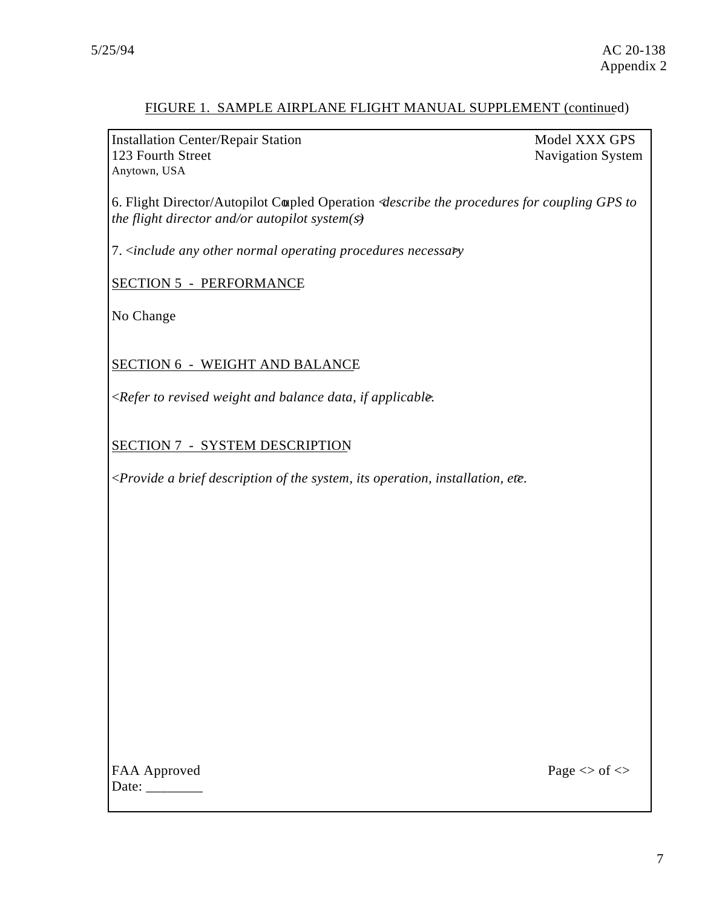Installation Center/Repair Station Model XXX GPS 123 Fourth Street Navigation System Anytown, USA

6. Flight Director/Autopilot Coupled Operation <*describe the procedures for coupling GPS to the flight director and/or autopilot system(s)*>

7. <*include any other normal operating procedures necessary*>

SECTION 5 - PERFORMANCE

No Change

SECTION 6 - WEIGHT AND BALANCE

<*Refer to revised weight and balance data, if applicable.* >

SECTION 7 - SYSTEM DESCRIPTION

<*Provide a brief description of the system, its operation, installation, etc.* >

FAA Approved Page  $\leq$  of  $\leq$ Date:  $\frac{1}{\sqrt{1-\frac{1}{2}} \cdot \frac{1}{2}}$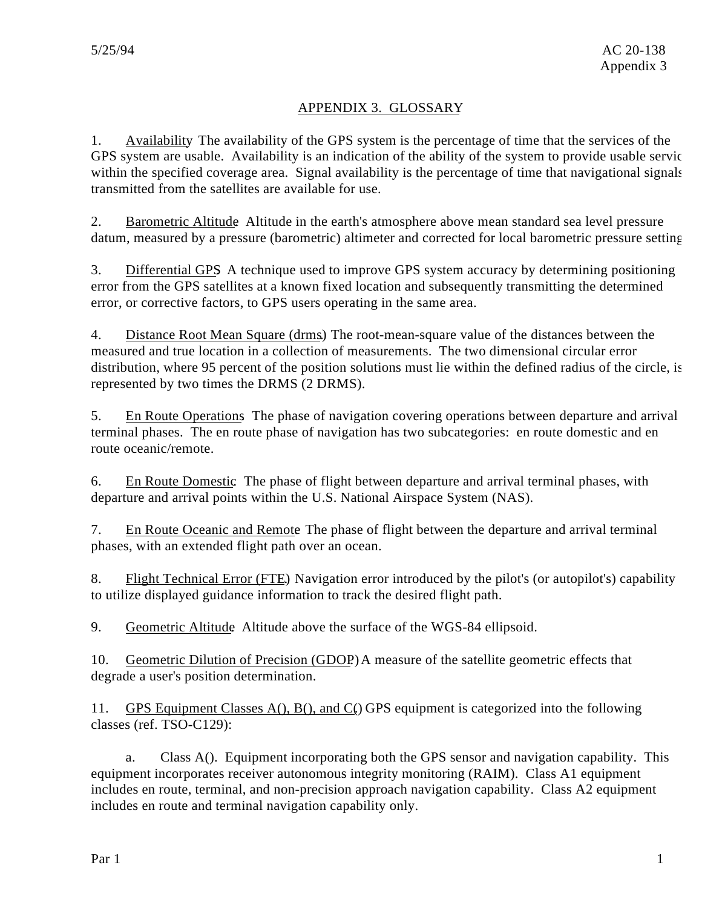# APPENDIX 3. GLOSSARY

1. Availability. The availability of the GPS system is the percentage of time that the services of the GPS system are usable. Availability is an indication of the ability of the system to provide usable servic within the specified coverage area. Signal availability is the percentage of time that navigational signals transmitted from the satellites are available for use.

2. Barometric Altitude. Altitude in the earth's atmosphere above mean standard sea level pressure datum, measured by a pressure (barometric) altimeter and corrected for local barometric pressure setting.

3. Differential GPS. A technique used to improve GPS system accuracy by determining positioning error from the GPS satellites at a known fixed location and subsequently transmitting the determined error, or corrective factors, to GPS users operating in the same area.

4. Distance Root Mean Square (drms). The root-mean-square value of the distances between the measured and true location in a collection of measurements. The two dimensional circular error distribution, where 95 percent of the position solutions must lie within the defined radius of the circle, is represented by two times the DRMS (2 DRMS).

5. En Route Operations. The phase of navigation covering operations between departure and arrival terminal phases. The en route phase of navigation has two subcategories: en route domestic and en route oceanic/remote.

6. En Route Domestic. The phase of flight between departure and arrival terminal phases, with departure and arrival points within the U.S. National Airspace System (NAS).

7. En Route Oceanic and Remote. The phase of flight between the departure and arrival terminal phases, with an extended flight path over an ocean.

8. Flight Technical Error (FTE). Navigation error introduced by the pilot's (or autopilot's) capability to utilize displayed guidance information to track the desired flight path.

9. Geometric Altitude Altitude above the surface of the WGS-84 ellipsoid.

10. Geometric Dilution of Precision (GDOP). A measure of the satellite geometric effects that degrade a user's position determination.

11. GPS Equipment Classes  $A()$ ,  $B()$ , and  $C()$  GPS equipment is categorized into the following classes (ref. TSO-C129):

a. Class A(). Equipment incorporating both the GPS sensor and navigation capability. This equipment incorporates receiver autonomous integrity monitoring (RAIM). Class A1 equipment includes en route, terminal, and non-precision approach navigation capability. Class A2 equipment includes en route and terminal navigation capability only.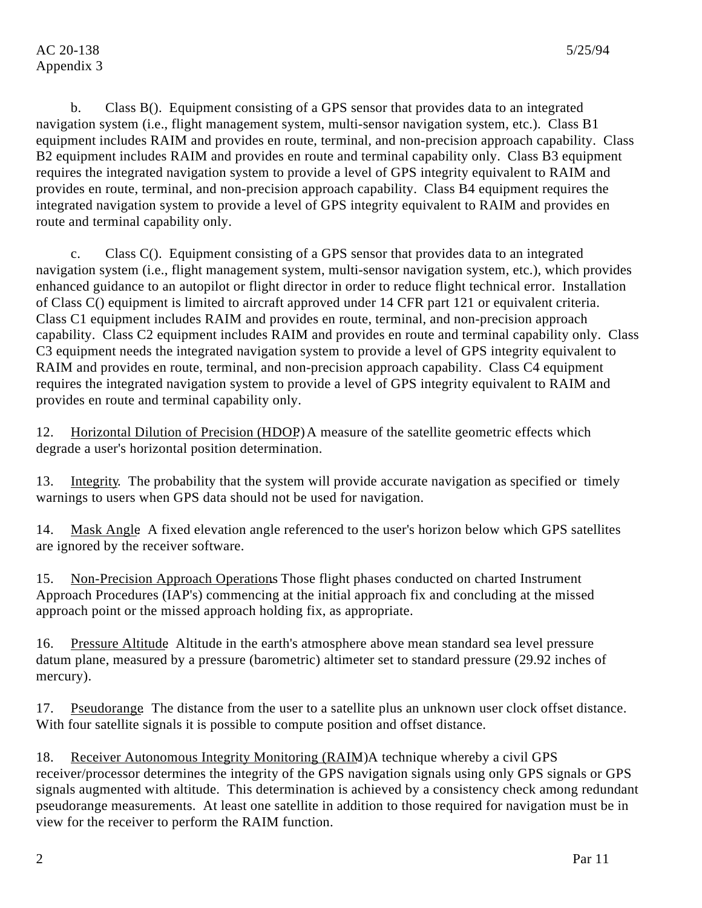b. Class B(). Equipment consisting of a GPS sensor that provides data to an integrated navigation system (i.e., flight management system, multi-sensor navigation system, etc.). Class B1 equipment includes RAIM and provides en route, terminal, and non-precision approach capability. Class B2 equipment includes RAIM and provides en route and terminal capability only. Class B3 equipment requires the integrated navigation system to provide a level of GPS integrity equivalent to RAIM and provides en route, terminal, and non-precision approach capability. Class B4 equipment requires the integrated navigation system to provide a level of GPS integrity equivalent to RAIM and provides en route and terminal capability only.

c. Class C(). Equipment consisting of a GPS sensor that provides data to an integrated navigation system (i.e., flight management system, multi-sensor navigation system, etc.), which provides enhanced guidance to an autopilot or flight director in order to reduce flight technical error. Installation of Class C() equipment is limited to aircraft approved under 14 CFR part 121 or equivalent criteria. Class C1 equipment includes RAIM and provides en route, terminal, and non-precision approach capability. Class C2 equipment includes RAIM and provides en route and terminal capability only. Class C3 equipment needs the integrated navigation system to provide a level of GPS integrity equivalent to RAIM and provides en route, terminal, and non-precision approach capability. Class C4 equipment requires the integrated navigation system to provide a level of GPS integrity equivalent to RAIM and provides en route and terminal capability only.

12. Horizontal Dilution of Precision (HDOP) A measure of the satellite geometric effects which degrade a user's horizontal position determination.

13. Integrity. The probability that the system will provide accurate navigation as specified or timely warnings to users when GPS data should not be used for navigation.

14. Mask Angle. A fixed elevation angle referenced to the user's horizon below which GPS satellites are ignored by the receiver software.

15. Non-Precision Approach Operations Those flight phases conducted on charted Instrument Approach Procedures (IAP's) commencing at the initial approach fix and concluding at the missed approach point or the missed approach holding fix, as appropriate.

16. Pressure Altitude. Altitude in the earth's atmosphere above mean standard sea level pressure datum plane, measured by a pressure (barometric) altimeter set to standard pressure (29.92 inches of mercury).

17. Pseudorange. The distance from the user to a satellite plus an unknown user clock offset distance. With four satellite signals it is possible to compute position and offset distance.

18. Receiver Autonomous Integrity Monitoring (RAIM). A technique whereby a civil GPS receiver/processor determines the integrity of the GPS navigation signals using only GPS signals or GPS signals augmented with altitude. This determination is achieved by a consistency check among redundant pseudorange measurements. At least one satellite in addition to those required for navigation must be in view for the receiver to perform the RAIM function.